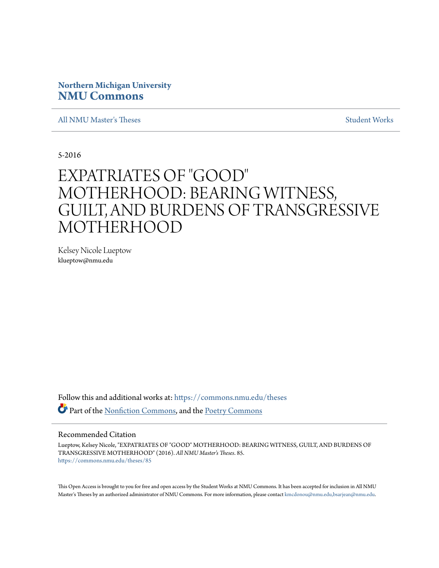# **Northern Michigan University [NMU Commons](https://commons.nmu.edu?utm_source=commons.nmu.edu%2Ftheses%2F85&utm_medium=PDF&utm_campaign=PDFCoverPages)**

[All NMU Master's Theses](https://commons.nmu.edu/theses?utm_source=commons.nmu.edu%2Ftheses%2F85&utm_medium=PDF&utm_campaign=PDFCoverPages) [Student Works](https://commons.nmu.edu/student_works?utm_source=commons.nmu.edu%2Ftheses%2F85&utm_medium=PDF&utm_campaign=PDFCoverPages)

5-2016

# EXPATRIATES OF "GOOD" MOTHERHOOD: BEARING WITNESS, GUILT, AND BURDENS OF TRANSGRESSIVE MOTHERHOOD

Kelsey Nicole Lueptow klueptow@nmu.edu

Follow this and additional works at: [https://commons.nmu.edu/theses](https://commons.nmu.edu/theses?utm_source=commons.nmu.edu%2Ftheses%2F85&utm_medium=PDF&utm_campaign=PDFCoverPages) Part of the [Nonfiction Commons](http://network.bepress.com/hgg/discipline/1152?utm_source=commons.nmu.edu%2Ftheses%2F85&utm_medium=PDF&utm_campaign=PDFCoverPages), and the [Poetry Commons](http://network.bepress.com/hgg/discipline/1153?utm_source=commons.nmu.edu%2Ftheses%2F85&utm_medium=PDF&utm_campaign=PDFCoverPages)

#### Recommended Citation

Lueptow, Kelsey Nicole, "EXPATRIATES OF "GOOD" MOTHERHOOD: BEARING WITNESS, GUILT, AND BURDENS OF TRANSGRESSIVE MOTHERHOOD" (2016). *All NMU Master's Theses*. 85. [https://commons.nmu.edu/theses/85](https://commons.nmu.edu/theses/85?utm_source=commons.nmu.edu%2Ftheses%2F85&utm_medium=PDF&utm_campaign=PDFCoverPages)

This Open Access is brought to you for free and open access by the Student Works at NMU Commons. It has been accepted for inclusion in All NMU Master's Theses by an authorized administrator of NMU Commons. For more information, please contact [kmcdonou@nmu.edu,bsarjean@nmu.edu.](mailto:kmcdonou@nmu.edu,bsarjean@nmu.edu)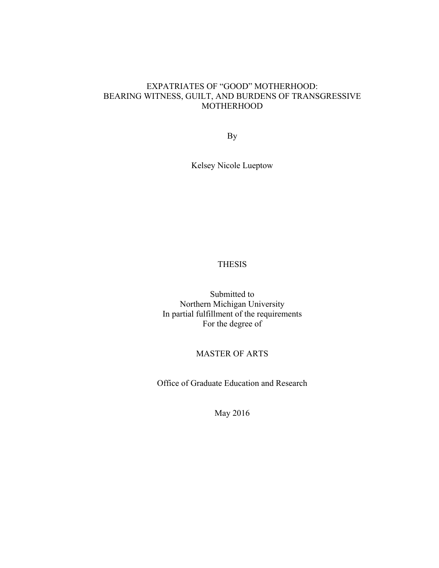### EXPATRIATES OF "GOOD" MOTHERHOOD: BEARING WITNESS, GUILT, AND BURDENS OF TRANSGRESSIVE **MOTHERHOOD**

By

Kelsey Nicole Lueptow

# THESIS

Submitted to Northern Michigan University In partial fulfillment of the requirements For the degree of

### MASTER OF ARTS

Office of Graduate Education and Research

May 2016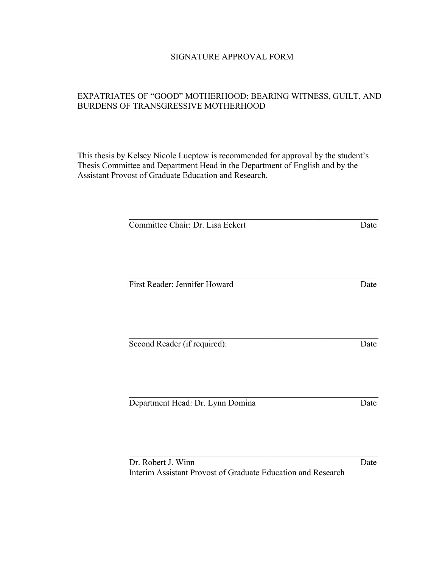# SIGNATURE APPROVAL FORM

# EXPATRIATES OF "GOOD" MOTHERHOOD: BEARING WITNESS, GUILT, AND BURDENS OF TRANSGRESSIVE MOTHERHOOD

This thesis by Kelsey Nicole Lueptow is recommended for approval by the student's Thesis Committee and Department Head in the Department of English and by the Assistant Provost of Graduate Education and Research.

| Committee Chair: Dr. Lisa Eckert |  |
|----------------------------------|--|
|                                  |  |
|                                  |  |
|                                  |  |
| First Reader: Jennifer Howard    |  |
|                                  |  |
|                                  |  |
|                                  |  |
| Second Reader (if required):     |  |
|                                  |  |
|                                  |  |
|                                  |  |
| Department Head: Dr. Lynn Domina |  |
|                                  |  |
|                                  |  |
|                                  |  |
| Dr. Robert J. Winn               |  |

Interim Assistant Provost of Graduate Education and Research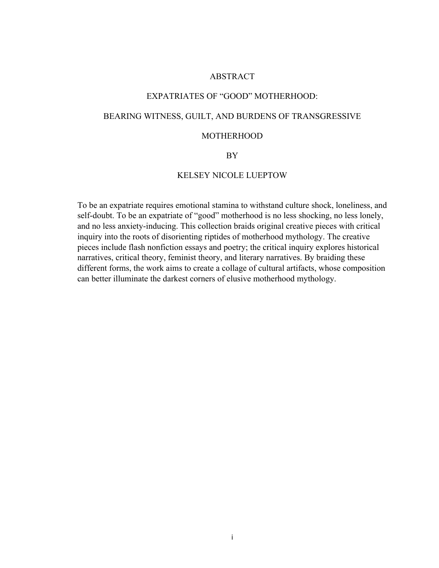### ABSTRACT

### EXPATRIATES OF "GOOD" MOTHERHOOD:

### BEARING WITNESS, GUILT, AND BURDENS OF TRANSGRESSIVE

### **MOTHERHOOD**

### BY

### KELSEY NICOLE LUEPTOW

To be an expatriate requires emotional stamina to withstand culture shock, loneliness, and self-doubt. To be an expatriate of "good" motherhood is no less shocking, no less lonely, and no less anxiety-inducing. This collection braids original creative pieces with critical inquiry into the roots of disorienting riptides of motherhood mythology. The creative pieces include flash nonfiction essays and poetry; the critical inquiry explores historical narratives, critical theory, feminist theory, and literary narratives. By braiding these different forms, the work aims to create a collage of cultural artifacts, whose composition can better illuminate the darkest corners of elusive motherhood mythology.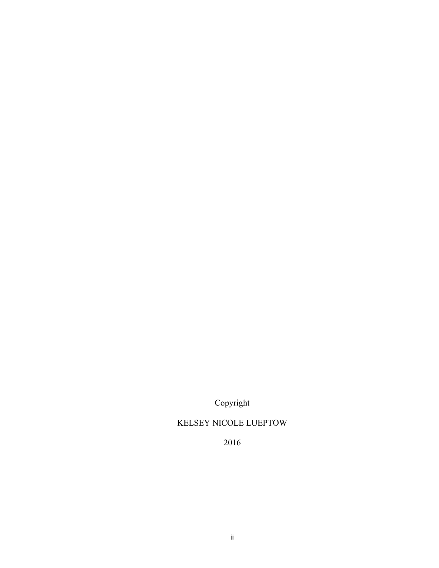Copyright

# KELSEY NICOLE LUEPTOW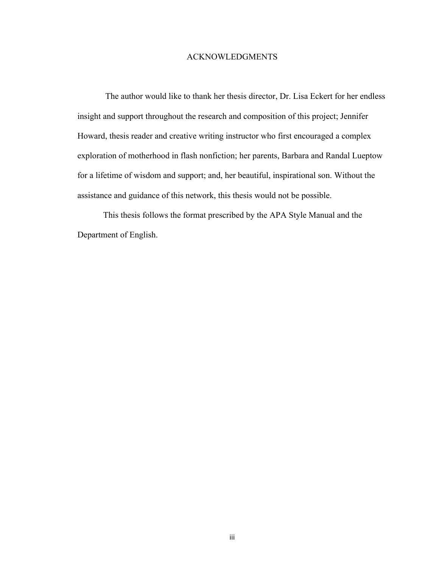#### ACKNOWLEDGMENTS

The author would like to thank her thesis director, Dr. Lisa Eckert for her endless insight and support throughout the research and composition of this project; Jennifer Howard, thesis reader and creative writing instructor who first encouraged a complex exploration of motherhood in flash nonfiction; her parents, Barbara and Randal Lueptow for a lifetime of wisdom and support; and, her beautiful, inspirational son. Without the assistance and guidance of this network, this thesis would not be possible.

This thesis follows the format prescribed by the APA Style Manual and the Department of English.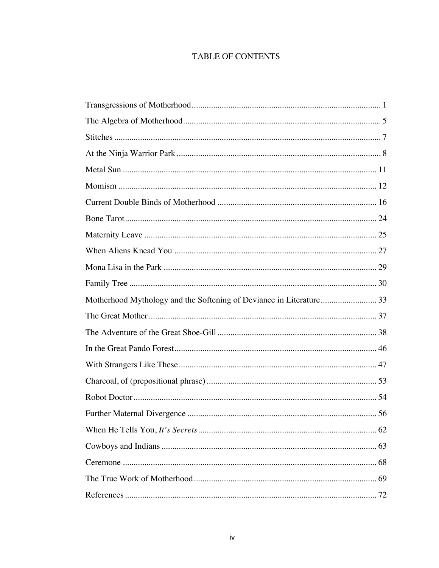# **TABLE OF CONTENTS**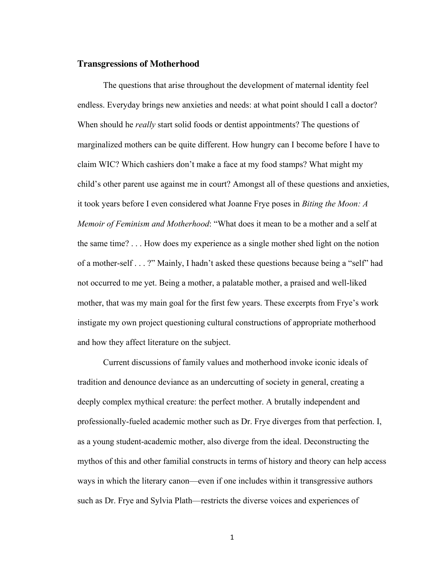#### **Transgressions of Motherhood**

The questions that arise throughout the development of maternal identity feel endless. Everyday brings new anxieties and needs: at what point should I call a doctor? When should he *really* start solid foods or dentist appointments? The questions of marginalized mothers can be quite different. How hungry can I become before I have to claim WIC? Which cashiers don't make a face at my food stamps? What might my child's other parent use against me in court? Amongst all of these questions and anxieties, it took years before I even considered what Joanne Frye poses in *Biting the Moon: A Memoir of Feminism and Motherhood*: "What does it mean to be a mother and a self at the same time? . . . How does my experience as a single mother shed light on the notion of a mother-self . . . ?" Mainly, I hadn't asked these questions because being a "self" had not occurred to me yet. Being a mother, a palatable mother, a praised and well-liked mother, that was my main goal for the first few years. These excerpts from Frye's work instigate my own project questioning cultural constructions of appropriate motherhood and how they affect literature on the subject.

Current discussions of family values and motherhood invoke iconic ideals of tradition and denounce deviance as an undercutting of society in general, creating a deeply complex mythical creature: the perfect mother. A brutally independent and professionally-fueled academic mother such as Dr. Frye diverges from that perfection. I, as a young student-academic mother, also diverge from the ideal. Deconstructing the mythos of this and other familial constructs in terms of history and theory can help access ways in which the literary canon—even if one includes within it transgressive authors such as Dr. Frye and Sylvia Plath—restricts the diverse voices and experiences of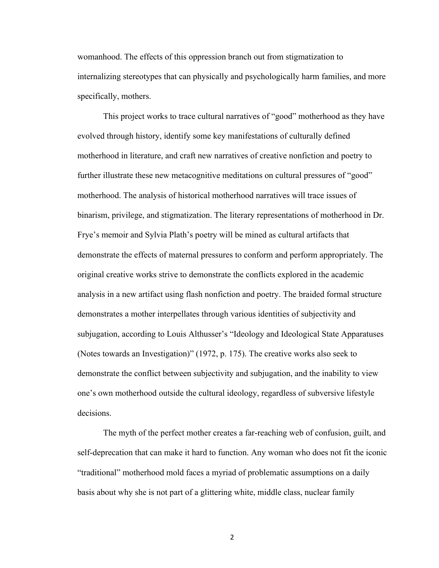womanhood. The effects of this oppression branch out from stigmatization to internalizing stereotypes that can physically and psychologically harm families, and more specifically, mothers.

This project works to trace cultural narratives of "good" motherhood as they have evolved through history, identify some key manifestations of culturally defined motherhood in literature, and craft new narratives of creative nonfiction and poetry to further illustrate these new metacognitive meditations on cultural pressures of "good" motherhood. The analysis of historical motherhood narratives will trace issues of binarism, privilege, and stigmatization. The literary representations of motherhood in Dr. Frye's memoir and Sylvia Plath's poetry will be mined as cultural artifacts that demonstrate the effects of maternal pressures to conform and perform appropriately. The original creative works strive to demonstrate the conflicts explored in the academic analysis in a new artifact using flash nonfiction and poetry. The braided formal structure demonstrates a mother interpellates through various identities of subjectivity and subjugation, according to Louis Althusser's "Ideology and Ideological State Apparatuses (Notes towards an Investigation)" (1972, p. 175). The creative works also seek to demonstrate the conflict between subjectivity and subjugation, and the inability to view one's own motherhood outside the cultural ideology, regardless of subversive lifestyle decisions.

The myth of the perfect mother creates a far-reaching web of confusion, guilt, and self-deprecation that can make it hard to function. Any woman who does not fit the iconic "traditional" motherhood mold faces a myriad of problematic assumptions on a daily basis about why she is not part of a glittering white, middle class, nuclear family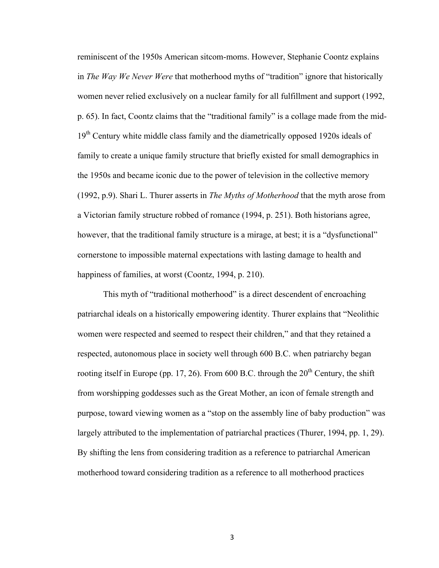reminiscent of the 1950s American sitcom-moms. However, Stephanie Coontz explains in *The Way We Never Were* that motherhood myths of "tradition" ignore that historically women never relied exclusively on a nuclear family for all fulfillment and support (1992, p. 65). In fact, Coontz claims that the "traditional family" is a collage made from the mid-19<sup>th</sup> Century white middle class family and the diametrically opposed 1920s ideals of family to create a unique family structure that briefly existed for small demographics in the 1950s and became iconic due to the power of television in the collective memory (1992, p.9). Shari L. Thurer asserts in *The Myths of Motherhood* that the myth arose from a Victorian family structure robbed of romance (1994, p. 251). Both historians agree, however, that the traditional family structure is a mirage, at best; it is a "dysfunctional" cornerstone to impossible maternal expectations with lasting damage to health and happiness of families, at worst (Coontz, 1994, p. 210).

This myth of "traditional motherhood" is a direct descendent of encroaching patriarchal ideals on a historically empowering identity. Thurer explains that "Neolithic women were respected and seemed to respect their children," and that they retained a respected, autonomous place in society well through 600 B.C. when patriarchy began rooting itself in Europe (pp. 17, 26). From 600 B.C. through the  $20<sup>th</sup>$  Century, the shift from worshipping goddesses such as the Great Mother, an icon of female strength and purpose, toward viewing women as a "stop on the assembly line of baby production" was largely attributed to the implementation of patriarchal practices (Thurer, 1994, pp. 1, 29). By shifting the lens from considering tradition as a reference to patriarchal American motherhood toward considering tradition as a reference to all motherhood practices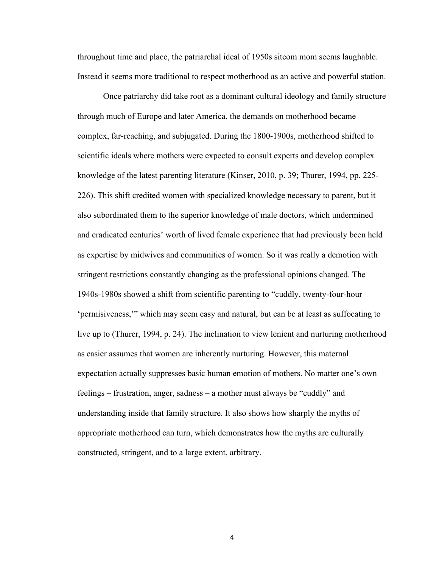throughout time and place, the patriarchal ideal of 1950s sitcom mom seems laughable. Instead it seems more traditional to respect motherhood as an active and powerful station.

Once patriarchy did take root as a dominant cultural ideology and family structure through much of Europe and later America, the demands on motherhood became complex, far-reaching, and subjugated. During the 1800-1900s, motherhood shifted to scientific ideals where mothers were expected to consult experts and develop complex knowledge of the latest parenting literature (Kinser, 2010, p. 39; Thurer, 1994, pp. 225- 226). This shift credited women with specialized knowledge necessary to parent, but it also subordinated them to the superior knowledge of male doctors, which undermined and eradicated centuries' worth of lived female experience that had previously been held as expertise by midwives and communities of women. So it was really a demotion with stringent restrictions constantly changing as the professional opinions changed. The 1940s-1980s showed a shift from scientific parenting to "cuddly, twenty-four-hour 'permisiveness,'" which may seem easy and natural, but can be at least as suffocating to live up to (Thurer, 1994, p. 24). The inclination to view lenient and nurturing motherhood as easier assumes that women are inherently nurturing. However, this maternal expectation actually suppresses basic human emotion of mothers. No matter one's own feelings – frustration, anger, sadness – a mother must always be "cuddly" and understanding inside that family structure. It also shows how sharply the myths of appropriate motherhood can turn, which demonstrates how the myths are culturally constructed, stringent, and to a large extent, arbitrary.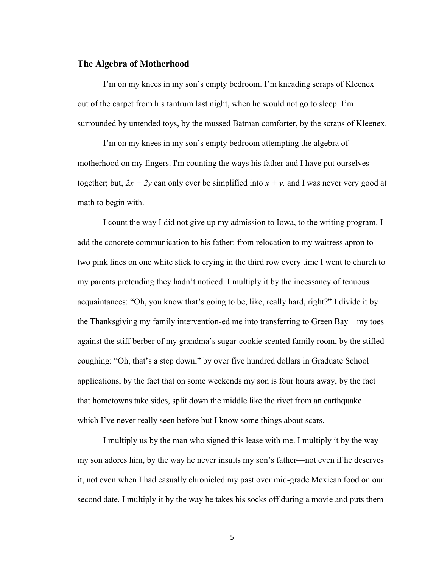### **The Algebra of Motherhood**

I'm on my knees in my son's empty bedroom. I'm kneading scraps of Kleenex out of the carpet from his tantrum last night, when he would not go to sleep. I'm surrounded by untended toys, by the mussed Batman comforter, by the scraps of Kleenex.

I'm on my knees in my son's empty bedroom attempting the algebra of motherhood on my fingers. I'm counting the ways his father and I have put ourselves together; but,  $2x + 2y$  can only ever be simplified into  $x + y$ , and I was never very good at math to begin with.

I count the way I did not give up my admission to Iowa, to the writing program. I add the concrete communication to his father: from relocation to my waitress apron to two pink lines on one white stick to crying in the third row every time I went to church to my parents pretending they hadn't noticed. I multiply it by the incessancy of tenuous acquaintances: "Oh, you know that's going to be, like, really hard, right?" I divide it by the Thanksgiving my family intervention-ed me into transferring to Green Bay—my toes against the stiff berber of my grandma's sugar-cookie scented family room, by the stifled coughing: "Oh, that's a step down," by over five hundred dollars in Graduate School applications, by the fact that on some weekends my son is four hours away, by the fact that hometowns take sides, split down the middle like the rivet from an earthquake which I've never really seen before but I know some things about scars.

I multiply us by the man who signed this lease with me. I multiply it by the way my son adores him, by the way he never insults my son's father—not even if he deserves it, not even when I had casually chronicled my past over mid-grade Mexican food on our second date. I multiply it by the way he takes his socks off during a movie and puts them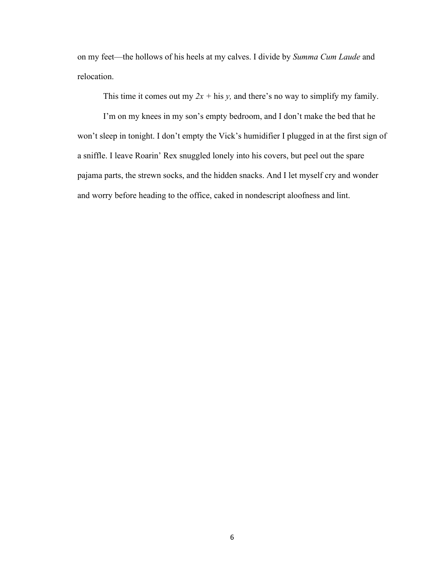on my feet—the hollows of his heels at my calves. I divide by *Summa Cum Laude* and relocation.

This time it comes out my  $2x + \text{his } y$ , and there's no way to simplify my family.

I'm on my knees in my son's empty bedroom, and I don't make the bed that he won't sleep in tonight. I don't empty the Vick's humidifier I plugged in at the first sign of a sniffle. I leave Roarin' Rex snuggled lonely into his covers, but peel out the spare pajama parts, the strewn socks, and the hidden snacks. And I let myself cry and wonder and worry before heading to the office, caked in nondescript aloofness and lint.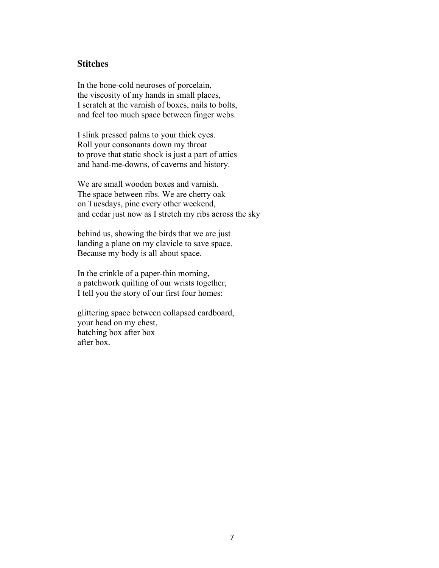### **Stitches**

In the bone-cold neuroses of porcelain, the viscosity of my hands in small places, I scratch at the varnish of boxes, nails to bolts, and feel too much space between finger webs.

I slink pressed palms to your thick eyes. Roll your consonants down my throat to prove that static shock is just a part of attics and hand-me-downs, of caverns and history.

We are small wooden boxes and varnish. The space between ribs. We are cherry oak on Tuesdays, pine every other weekend, and cedar just now as I stretch my ribs across the sky

behind us, showing the birds that we are just landing a plane on my clavicle to save space. Because my body is all about space.

In the crinkle of a paper-thin morning, a patchwork quilting of our wrists together, I tell you the story of our first four homes:

glittering space between collapsed cardboard, your head on my chest, hatching box after box after box.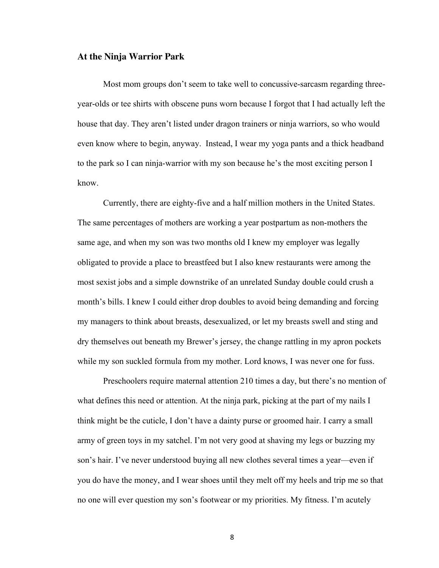### **At the Ninja Warrior Park**

Most mom groups don't seem to take well to concussive-sarcasm regarding threeyear-olds or tee shirts with obscene puns worn because I forgot that I had actually left the house that day. They aren't listed under dragon trainers or ninja warriors, so who would even know where to begin, anyway. Instead, I wear my yoga pants and a thick headband to the park so I can ninja-warrior with my son because he's the most exciting person I know.

Currently, there are eighty-five and a half million mothers in the United States. The same percentages of mothers are working a year postpartum as non-mothers the same age, and when my son was two months old I knew my employer was legally obligated to provide a place to breastfeed but I also knew restaurants were among the most sexist jobs and a simple downstrike of an unrelated Sunday double could crush a month's bills. I knew I could either drop doubles to avoid being demanding and forcing my managers to think about breasts, desexualized, or let my breasts swell and sting and dry themselves out beneath my Brewer's jersey, the change rattling in my apron pockets while my son suckled formula from my mother. Lord knows, I was never one for fuss.

Preschoolers require maternal attention 210 times a day, but there's no mention of what defines this need or attention. At the ninja park, picking at the part of my nails I think might be the cuticle, I don't have a dainty purse or groomed hair. I carry a small army of green toys in my satchel. I'm not very good at shaving my legs or buzzing my son's hair. I've never understood buying all new clothes several times a year—even if you do have the money, and I wear shoes until they melt off my heels and trip me so that no one will ever question my son's footwear or my priorities. My fitness. I'm acutely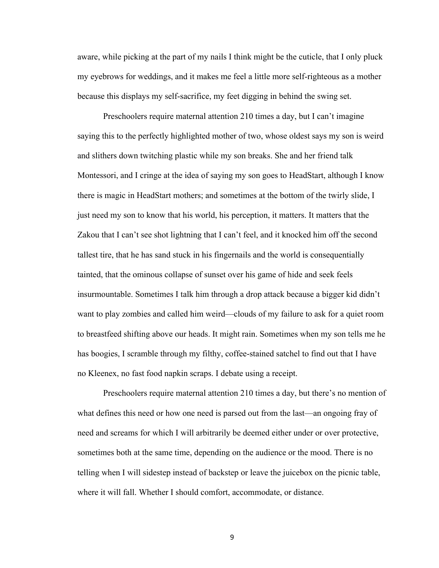aware, while picking at the part of my nails I think might be the cuticle, that I only pluck my eyebrows for weddings, and it makes me feel a little more self-righteous as a mother because this displays my self-sacrifice, my feet digging in behind the swing set.

Preschoolers require maternal attention 210 times a day, but I can't imagine saying this to the perfectly highlighted mother of two, whose oldest says my son is weird and slithers down twitching plastic while my son breaks. She and her friend talk Montessori, and I cringe at the idea of saying my son goes to HeadStart, although I know there is magic in HeadStart mothers; and sometimes at the bottom of the twirly slide, I just need my son to know that his world, his perception, it matters. It matters that the Zakou that I can't see shot lightning that I can't feel, and it knocked him off the second tallest tire, that he has sand stuck in his fingernails and the world is consequentially tainted, that the ominous collapse of sunset over his game of hide and seek feels insurmountable. Sometimes I talk him through a drop attack because a bigger kid didn't want to play zombies and called him weird—clouds of my failure to ask for a quiet room to breastfeed shifting above our heads. It might rain. Sometimes when my son tells me he has boogies, I scramble through my filthy, coffee-stained satchel to find out that I have no Kleenex, no fast food napkin scraps. I debate using a receipt.

Preschoolers require maternal attention 210 times a day, but there's no mention of what defines this need or how one need is parsed out from the last—an ongoing fray of need and screams for which I will arbitrarily be deemed either under or over protective, sometimes both at the same time, depending on the audience or the mood. There is no telling when I will sidestep instead of backstep or leave the juicebox on the picnic table, where it will fall. Whether I should comfort, accommodate, or distance.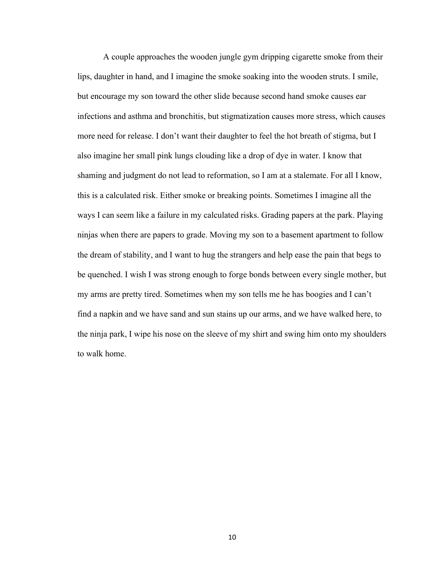A couple approaches the wooden jungle gym dripping cigarette smoke from their lips, daughter in hand, and I imagine the smoke soaking into the wooden struts. I smile, but encourage my son toward the other slide because second hand smoke causes ear infections and asthma and bronchitis, but stigmatization causes more stress, which causes more need for release. I don't want their daughter to feel the hot breath of stigma, but I also imagine her small pink lungs clouding like a drop of dye in water. I know that shaming and judgment do not lead to reformation, so I am at a stalemate. For all I know, this is a calculated risk. Either smoke or breaking points. Sometimes I imagine all the ways I can seem like a failure in my calculated risks. Grading papers at the park. Playing ninjas when there are papers to grade. Moving my son to a basement apartment to follow the dream of stability, and I want to hug the strangers and help ease the pain that begs to be quenched. I wish I was strong enough to forge bonds between every single mother, but my arms are pretty tired. Sometimes when my son tells me he has boogies and I can't find a napkin and we have sand and sun stains up our arms, and we have walked here, to the ninja park, I wipe his nose on the sleeve of my shirt and swing him onto my shoulders to walk home.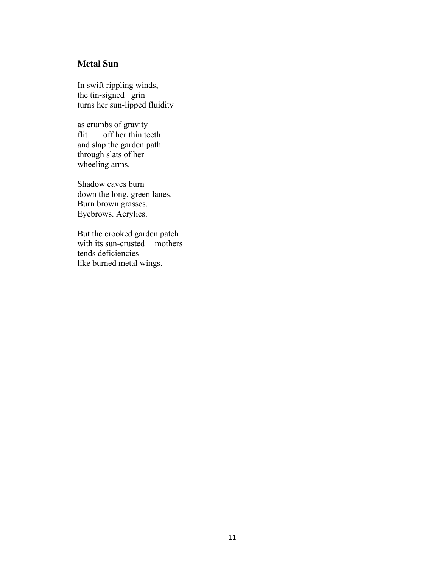# **Metal Sun**

In swift rippling winds, the tin-signed grin turns her sun-lipped fluidity

as crumbs of gravity flit off her thin teeth and slap the garden path through slats of her wheeling arms.

Shadow caves burn down the long, green lanes. Burn brown grasses. Eyebrows. Acrylics.

But the crooked garden patch with its sun-crusted mothers tends deficiencies like burned metal wings.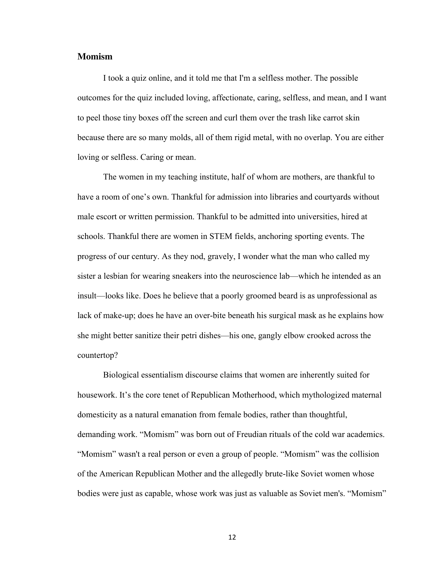### **Momism**

I took a quiz online, and it told me that I'm a selfless mother. The possible outcomes for the quiz included loving, affectionate, caring, selfless, and mean, and I want to peel those tiny boxes off the screen and curl them over the trash like carrot skin because there are so many molds, all of them rigid metal, with no overlap. You are either loving or selfless. Caring or mean.

The women in my teaching institute, half of whom are mothers, are thankful to have a room of one's own. Thankful for admission into libraries and courtyards without male escort or written permission. Thankful to be admitted into universities, hired at schools. Thankful there are women in STEM fields, anchoring sporting events. The progress of our century. As they nod, gravely, I wonder what the man who called my sister a lesbian for wearing sneakers into the neuroscience lab—which he intended as an insult—looks like. Does he believe that a poorly groomed beard is as unprofessional as lack of make-up; does he have an over-bite beneath his surgical mask as he explains how she might better sanitize their petri dishes—his one, gangly elbow crooked across the countertop?

Biological essentialism discourse claims that women are inherently suited for housework. It's the core tenet of Republican Motherhood, which mythologized maternal domesticity as a natural emanation from female bodies, rather than thoughtful, demanding work. "Momism" was born out of Freudian rituals of the cold war academics. "Momism" wasn't a real person or even a group of people. "Momism" was the collision of the American Republican Mother and the allegedly brute-like Soviet women whose bodies were just as capable, whose work was just as valuable as Soviet men's. "Momism"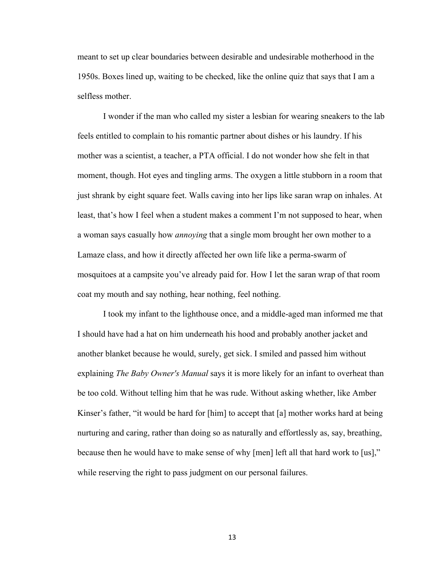meant to set up clear boundaries between desirable and undesirable motherhood in the 1950s. Boxes lined up, waiting to be checked, like the online quiz that says that I am a selfless mother.

I wonder if the man who called my sister a lesbian for wearing sneakers to the lab feels entitled to complain to his romantic partner about dishes or his laundry. If his mother was a scientist, a teacher, a PTA official. I do not wonder how she felt in that moment, though. Hot eyes and tingling arms. The oxygen a little stubborn in a room that just shrank by eight square feet. Walls caving into her lips like saran wrap on inhales. At least, that's how I feel when a student makes a comment I'm not supposed to hear, when a woman says casually how *annoying* that a single mom brought her own mother to a Lamaze class, and how it directly affected her own life like a perma-swarm of mosquitoes at a campsite you've already paid for. How I let the saran wrap of that room coat my mouth and say nothing, hear nothing, feel nothing.

I took my infant to the lighthouse once, and a middle-aged man informed me that I should have had a hat on him underneath his hood and probably another jacket and another blanket because he would, surely, get sick. I smiled and passed him without explaining *The Baby Owner's Manual* says it is more likely for an infant to overheat than be too cold. Without telling him that he was rude. Without asking whether, like Amber Kinser's father, "it would be hard for [him] to accept that [a] mother works hard at being nurturing and caring, rather than doing so as naturally and effortlessly as, say, breathing, because then he would have to make sense of why [men] left all that hard work to [us]," while reserving the right to pass judgment on our personal failures.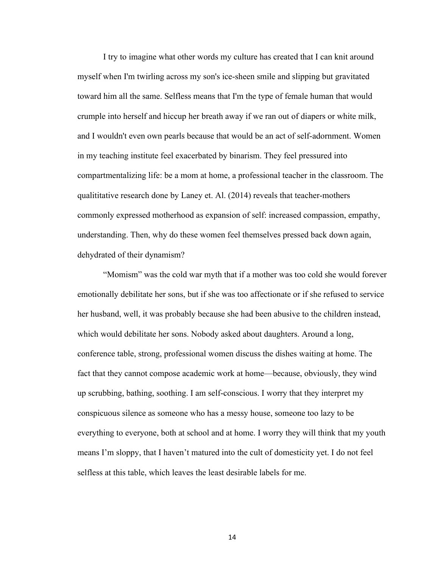I try to imagine what other words my culture has created that I can knit around myself when I'm twirling across my son's ice-sheen smile and slipping but gravitated toward him all the same. Selfless means that I'm the type of female human that would crumple into herself and hiccup her breath away if we ran out of diapers or white milk, and I wouldn't even own pearls because that would be an act of self-adornment. Women in my teaching institute feel exacerbated by binarism. They feel pressured into compartmentalizing life: be a mom at home, a professional teacher in the classroom. The qualititative research done by Laney et. Al. (2014) reveals that teacher-mothers commonly expressed motherhood as expansion of self: increased compassion, empathy, understanding. Then, why do these women feel themselves pressed back down again, dehydrated of their dynamism?

"Momism" was the cold war myth that if a mother was too cold she would forever emotionally debilitate her sons, but if she was too affectionate or if she refused to service her husband, well, it was probably because she had been abusive to the children instead, which would debilitate her sons. Nobody asked about daughters. Around a long, conference table, strong, professional women discuss the dishes waiting at home. The fact that they cannot compose academic work at home—because, obviously, they wind up scrubbing, bathing, soothing. I am self-conscious. I worry that they interpret my conspicuous silence as someone who has a messy house, someone too lazy to be everything to everyone, both at school and at home. I worry they will think that my youth means I'm sloppy, that I haven't matured into the cult of domesticity yet. I do not feel selfless at this table, which leaves the least desirable labels for me.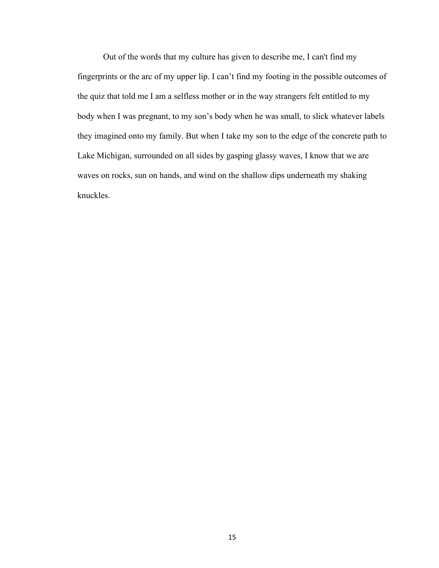Out of the words that my culture has given to describe me, I can't find my fingerprints or the arc of my upper lip. I can't find my footing in the possible outcomes of the quiz that told me I am a selfless mother or in the way strangers felt entitled to my body when I was pregnant, to my son's body when he was small, to slick whatever labels they imagined onto my family. But when I take my son to the edge of the concrete path to Lake Michigan, surrounded on all sides by gasping glassy waves, I know that we are waves on rocks, sun on hands, and wind on the shallow dips underneath my shaking knuckles.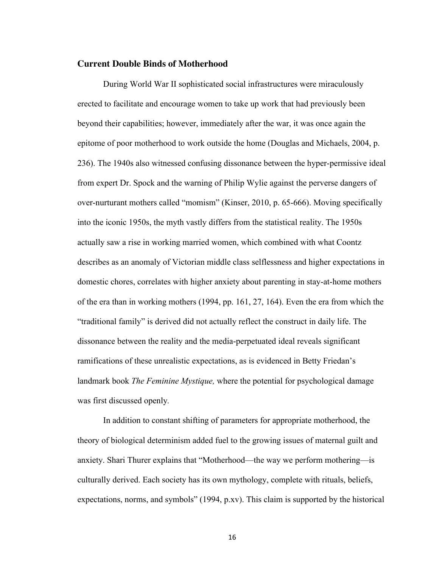### **Current Double Binds of Motherhood**

During World War II sophisticated social infrastructures were miraculously erected to facilitate and encourage women to take up work that had previously been beyond their capabilities; however, immediately after the war, it was once again the epitome of poor motherhood to work outside the home (Douglas and Michaels, 2004, p. 236). The 1940s also witnessed confusing dissonance between the hyper-permissive ideal from expert Dr. Spock and the warning of Philip Wylie against the perverse dangers of over-nurturant mothers called "momism" (Kinser, 2010, p. 65-666). Moving specifically into the iconic 1950s, the myth vastly differs from the statistical reality. The 1950s actually saw a rise in working married women, which combined with what Coontz describes as an anomaly of Victorian middle class selflessness and higher expectations in domestic chores, correlates with higher anxiety about parenting in stay-at-home mothers of the era than in working mothers (1994, pp. 161, 27, 164). Even the era from which the "traditional family" is derived did not actually reflect the construct in daily life. The dissonance between the reality and the media-perpetuated ideal reveals significant ramifications of these unrealistic expectations, as is evidenced in Betty Friedan's landmark book *The Feminine Mystique,* where the potential for psychological damage was first discussed openly*.* 

In addition to constant shifting of parameters for appropriate motherhood, the theory of biological determinism added fuel to the growing issues of maternal guilt and anxiety. Shari Thurer explains that "Motherhood—the way we perform mothering—is culturally derived. Each society has its own mythology, complete with rituals, beliefs, expectations, norms, and symbols" (1994, p.xv). This claim is supported by the historical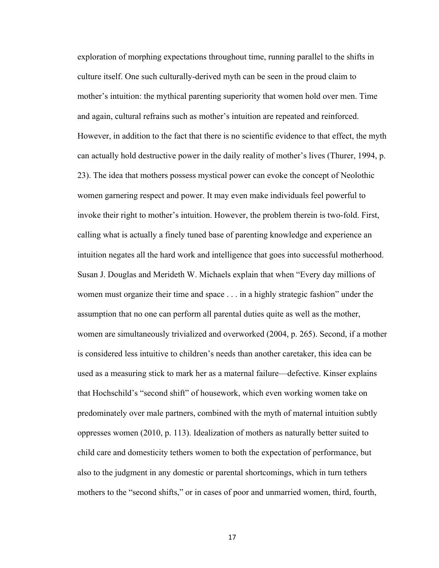exploration of morphing expectations throughout time, running parallel to the shifts in culture itself. One such culturally-derived myth can be seen in the proud claim to mother's intuition: the mythical parenting superiority that women hold over men. Time and again, cultural refrains such as mother's intuition are repeated and reinforced. However, in addition to the fact that there is no scientific evidence to that effect, the myth can actually hold destructive power in the daily reality of mother's lives (Thurer, 1994, p. 23). The idea that mothers possess mystical power can evoke the concept of Neolothic women garnering respect and power. It may even make individuals feel powerful to invoke their right to mother's intuition. However, the problem therein is two-fold. First, calling what is actually a finely tuned base of parenting knowledge and experience an intuition negates all the hard work and intelligence that goes into successful motherhood. Susan J. Douglas and Merideth W. Michaels explain that when "Every day millions of women must organize their time and space . . . in a highly strategic fashion" under the assumption that no one can perform all parental duties quite as well as the mother, women are simultaneously trivialized and overworked (2004, p. 265). Second, if a mother is considered less intuitive to children's needs than another caretaker, this idea can be used as a measuring stick to mark her as a maternal failure—defective. Kinser explains that Hochschild's "second shift" of housework, which even working women take on predominately over male partners, combined with the myth of maternal intuition subtly oppresses women (2010, p. 113). Idealization of mothers as naturally better suited to child care and domesticity tethers women to both the expectation of performance, but also to the judgment in any domestic or parental shortcomings, which in turn tethers mothers to the "second shifts," or in cases of poor and unmarried women, third, fourth,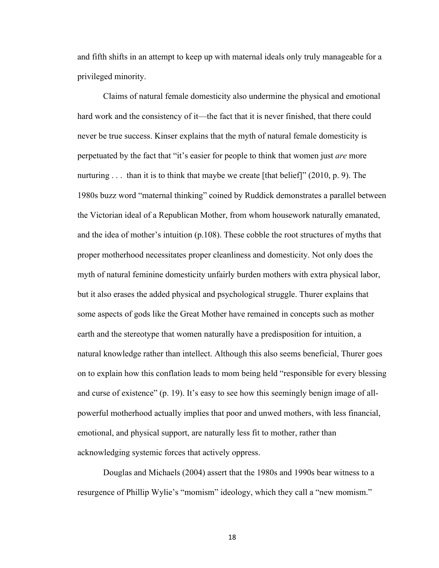and fifth shifts in an attempt to keep up with maternal ideals only truly manageable for a privileged minority.

Claims of natural female domesticity also undermine the physical and emotional hard work and the consistency of it—the fact that it is never finished, that there could never be true success. Kinser explains that the myth of natural female domesticity is perpetuated by the fact that "it's easier for people to think that women just *are* more nurturing . . . than it is to think that maybe we create [that belief]" (2010, p. 9). The 1980s buzz word "maternal thinking" coined by Ruddick demonstrates a parallel between the Victorian ideal of a Republican Mother, from whom housework naturally emanated, and the idea of mother's intuition (p.108). These cobble the root structures of myths that proper motherhood necessitates proper cleanliness and domesticity. Not only does the myth of natural feminine domesticity unfairly burden mothers with extra physical labor, but it also erases the added physical and psychological struggle. Thurer explains that some aspects of gods like the Great Mother have remained in concepts such as mother earth and the stereotype that women naturally have a predisposition for intuition, a natural knowledge rather than intellect. Although this also seems beneficial, Thurer goes on to explain how this conflation leads to mom being held "responsible for every blessing and curse of existence" (p. 19). It's easy to see how this seemingly benign image of allpowerful motherhood actually implies that poor and unwed mothers, with less financial, emotional, and physical support, are naturally less fit to mother, rather than acknowledging systemic forces that actively oppress.

Douglas and Michaels (2004) assert that the 1980s and 1990s bear witness to a resurgence of Phillip Wylie's "momism" ideology, which they call a "new momism."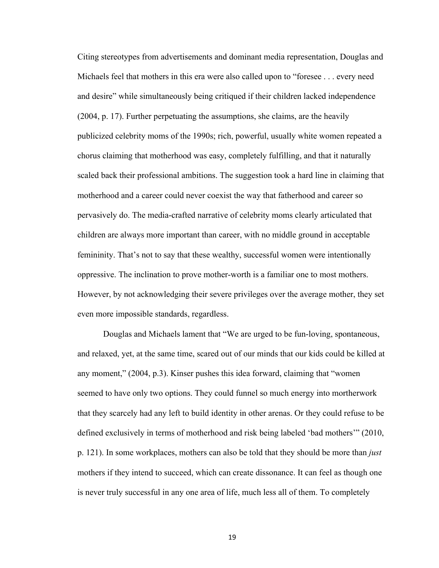Citing stereotypes from advertisements and dominant media representation, Douglas and Michaels feel that mothers in this era were also called upon to "foresee . . . every need and desire" while simultaneously being critiqued if their children lacked independence (2004, p. 17). Further perpetuating the assumptions, she claims, are the heavily publicized celebrity moms of the 1990s; rich, powerful, usually white women repeated a chorus claiming that motherhood was easy, completely fulfilling, and that it naturally scaled back their professional ambitions. The suggestion took a hard line in claiming that motherhood and a career could never coexist the way that fatherhood and career so pervasively do. The media-crafted narrative of celebrity moms clearly articulated that children are always more important than career, with no middle ground in acceptable femininity. That's not to say that these wealthy, successful women were intentionally oppressive. The inclination to prove mother-worth is a familiar one to most mothers. However, by not acknowledging their severe privileges over the average mother, they set even more impossible standards, regardless.

Douglas and Michaels lament that "We are urged to be fun-loving, spontaneous, and relaxed, yet, at the same time, scared out of our minds that our kids could be killed at any moment," (2004, p.3). Kinser pushes this idea forward, claiming that "women seemed to have only two options. They could funnel so much energy into mortherwork that they scarcely had any left to build identity in other arenas. Or they could refuse to be defined exclusively in terms of motherhood and risk being labeled 'bad mothers'" (2010, p. 121). In some workplaces, mothers can also be told that they should be more than *just*  mothers if they intend to succeed, which can create dissonance. It can feel as though one is never truly successful in any one area of life, much less all of them. To completely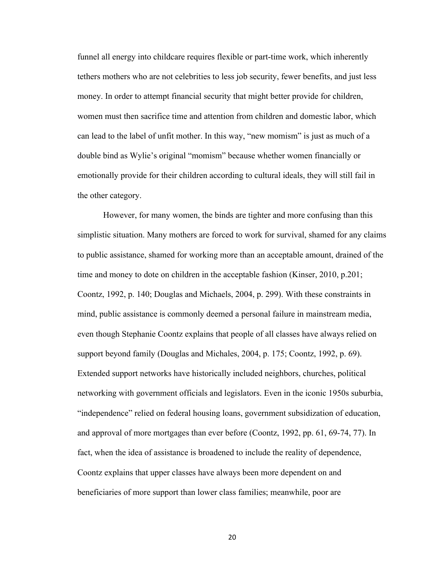funnel all energy into childcare requires flexible or part-time work, which inherently tethers mothers who are not celebrities to less job security, fewer benefits, and just less money. In order to attempt financial security that might better provide for children, women must then sacrifice time and attention from children and domestic labor, which can lead to the label of unfit mother. In this way, "new momism" is just as much of a double bind as Wylie's original "momism" because whether women financially or emotionally provide for their children according to cultural ideals, they will still fail in the other category.

However, for many women, the binds are tighter and more confusing than this simplistic situation. Many mothers are forced to work for survival, shamed for any claims to public assistance, shamed for working more than an acceptable amount, drained of the time and money to dote on children in the acceptable fashion (Kinser, 2010, p.201; Coontz, 1992, p. 140; Douglas and Michaels, 2004, p. 299). With these constraints in mind, public assistance is commonly deemed a personal failure in mainstream media, even though Stephanie Coontz explains that people of all classes have always relied on support beyond family (Douglas and Michales, 2004, p. 175; Coontz, 1992, p. 69). Extended support networks have historically included neighbors, churches, political networking with government officials and legislators. Even in the iconic 1950s suburbia, "independence" relied on federal housing loans, government subsidization of education, and approval of more mortgages than ever before (Coontz, 1992, pp. 61, 69-74, 77). In fact, when the idea of assistance is broadened to include the reality of dependence, Coontz explains that upper classes have always been more dependent on and beneficiaries of more support than lower class families; meanwhile, poor are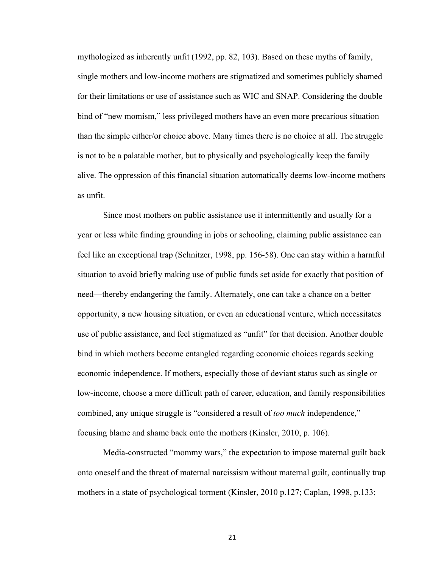mythologized as inherently unfit (1992, pp. 82, 103). Based on these myths of family, single mothers and low-income mothers are stigmatized and sometimes publicly shamed for their limitations or use of assistance such as WIC and SNAP. Considering the double bind of "new momism," less privileged mothers have an even more precarious situation than the simple either/or choice above. Many times there is no choice at all. The struggle is not to be a palatable mother, but to physically and psychologically keep the family alive. The oppression of this financial situation automatically deems low-income mothers as unfit.

Since most mothers on public assistance use it intermittently and usually for a year or less while finding grounding in jobs or schooling, claiming public assistance can feel like an exceptional trap (Schnitzer, 1998, pp. 156-58). One can stay within a harmful situation to avoid briefly making use of public funds set aside for exactly that position of need—thereby endangering the family. Alternately, one can take a chance on a better opportunity, a new housing situation, or even an educational venture, which necessitates use of public assistance, and feel stigmatized as "unfit" for that decision. Another double bind in which mothers become entangled regarding economic choices regards seeking economic independence. If mothers, especially those of deviant status such as single or low-income, choose a more difficult path of career, education, and family responsibilities combined, any unique struggle is "considered a result of *too much* independence," focusing blame and shame back onto the mothers (Kinsler, 2010, p. 106).

Media-constructed "mommy wars," the expectation to impose maternal guilt back onto oneself and the threat of maternal narcissism without maternal guilt, continually trap mothers in a state of psychological torment (Kinsler, 2010 p.127; Caplan, 1998, p.133;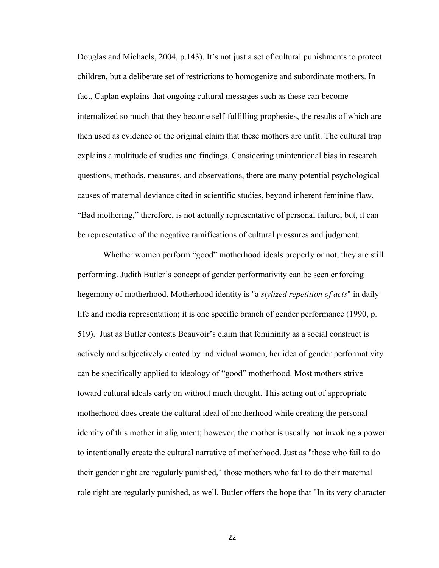Douglas and Michaels, 2004, p.143). It's not just a set of cultural punishments to protect children, but a deliberate set of restrictions to homogenize and subordinate mothers. In fact, Caplan explains that ongoing cultural messages such as these can become internalized so much that they become self-fulfilling prophesies, the results of which are then used as evidence of the original claim that these mothers are unfit. The cultural trap explains a multitude of studies and findings. Considering unintentional bias in research questions, methods, measures, and observations, there are many potential psychological causes of maternal deviance cited in scientific studies, beyond inherent feminine flaw. "Bad mothering," therefore, is not actually representative of personal failure; but, it can be representative of the negative ramifications of cultural pressures and judgment.

Whether women perform "good" motherhood ideals properly or not, they are still performing. Judith Butler's concept of gender performativity can be seen enforcing hegemony of motherhood. Motherhood identity is "a *stylized repetition of acts*" in daily life and media representation; it is one specific branch of gender performance (1990, p. 519). Just as Butler contests Beauvoir's claim that femininity as a social construct is actively and subjectively created by individual women, her idea of gender performativity can be specifically applied to ideology of "good" motherhood. Most mothers strive toward cultural ideals early on without much thought. This acting out of appropriate motherhood does create the cultural ideal of motherhood while creating the personal identity of this mother in alignment; however, the mother is usually not invoking a power to intentionally create the cultural narrative of motherhood. Just as "those who fail to do their gender right are regularly punished," those mothers who fail to do their maternal role right are regularly punished, as well. Butler offers the hope that "In its very character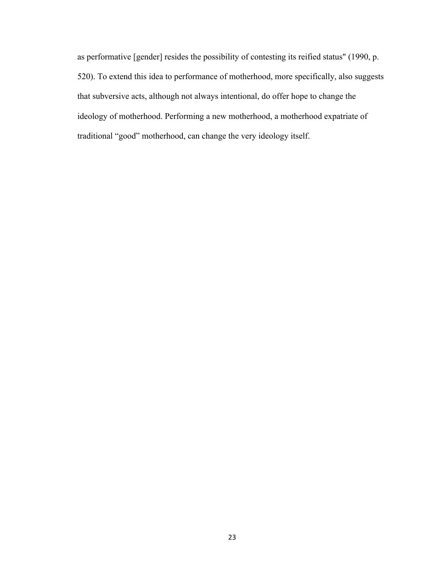as performative [gender] resides the possibility of contesting its reified status" (1990, p. 520). To extend this idea to performance of motherhood, more specifically, also suggests that subversive acts, although not always intentional, do offer hope to change the ideology of motherhood. Performing a new motherhood, a motherhood expatriate of traditional "good" motherhood, can change the very ideology itself.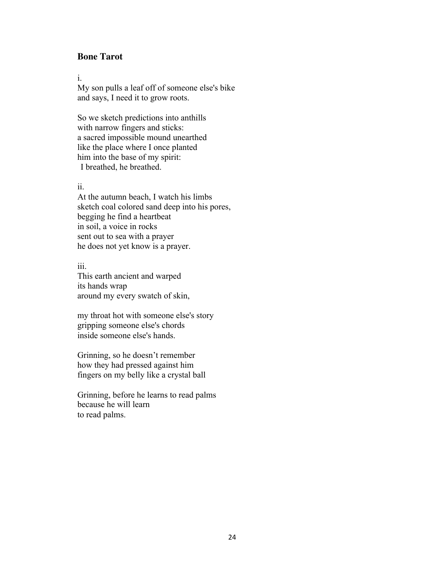# **Bone Tarot**

i.

My son pulls a leaf off of someone else's bike and says, I need it to grow roots.

So we sketch predictions into anthills with narrow fingers and sticks: a sacred impossible mound unearthed like the place where I once planted him into the base of my spirit: I breathed, he breathed.

### ii.

At the autumn beach, I watch his limbs sketch coal colored sand deep into his pores, begging he find a heartbeat in soil, a voice in rocks sent out to sea with a prayer he does not yet know is a prayer.

#### iii.

This earth ancient and warped its hands wrap around my every swatch of skin,

my throat hot with someone else's story gripping someone else's chords inside someone else's hands.

Grinning, so he doesn't remember how they had pressed against him fingers on my belly like a crystal ball

Grinning, before he learns to read palms because he will learn to read palms.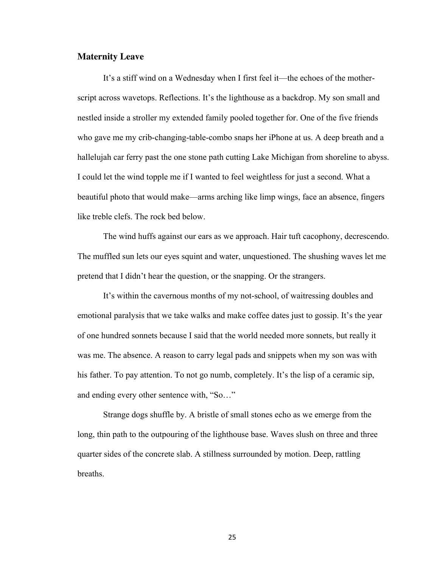### **Maternity Leave**

It's a stiff wind on a Wednesday when I first feel it—the echoes of the motherscript across wavetops. Reflections. It's the lighthouse as a backdrop. My son small and nestled inside a stroller my extended family pooled together for. One of the five friends who gave me my crib-changing-table-combo snaps her iPhone at us. A deep breath and a hallelujah car ferry past the one stone path cutting Lake Michigan from shoreline to abyss. I could let the wind topple me if I wanted to feel weightless for just a second. What a beautiful photo that would make—arms arching like limp wings, face an absence, fingers like treble clefs. The rock bed below.

The wind huffs against our ears as we approach. Hair tuft cacophony, decrescendo. The muffled sun lets our eyes squint and water, unquestioned. The shushing waves let me pretend that I didn't hear the question, or the snapping. Or the strangers.

It's within the cavernous months of my not-school, of waitressing doubles and emotional paralysis that we take walks and make coffee dates just to gossip. It's the year of one hundred sonnets because I said that the world needed more sonnets, but really it was me. The absence. A reason to carry legal pads and snippets when my son was with his father. To pay attention. To not go numb, completely. It's the lisp of a ceramic sip, and ending every other sentence with, "So…"

Strange dogs shuffle by. A bristle of small stones echo as we emerge from the long, thin path to the outpouring of the lighthouse base. Waves slush on three and three quarter sides of the concrete slab. A stillness surrounded by motion. Deep, rattling breaths.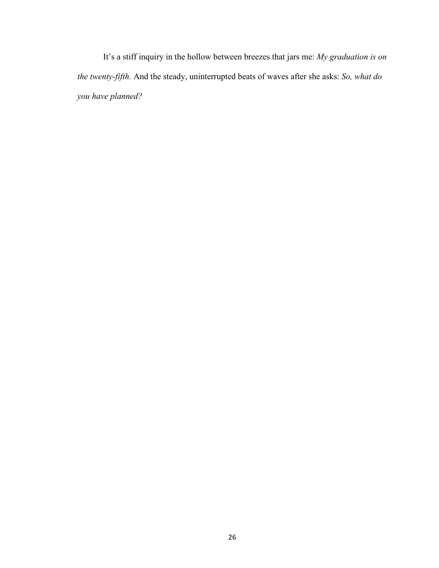It's a stiff inquiry in the hollow between breezes that jars me: *My graduation is on the twenty-fifth.* And the steady, uninterrupted beats of waves after she asks: *So, what do you have planned?*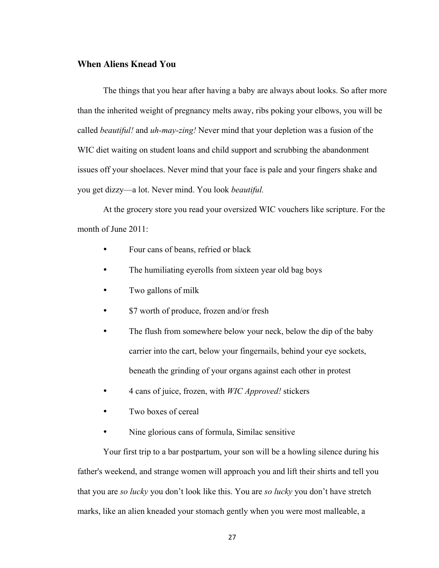# **When Aliens Knead You**

The things that you hear after having a baby are always about looks. So after more than the inherited weight of pregnancy melts away, ribs poking your elbows, you will be called *beautiful!* and *uh-may-zing!* Never mind that your depletion was a fusion of the WIC diet waiting on student loans and child support and scrubbing the abandonment issues off your shoelaces. Never mind that your face is pale and your fingers shake and you get dizzy—a lot. Never mind. You look *beautiful.* 

At the grocery store you read your oversized WIC vouchers like scripture. For the month of June 2011:

- Four cans of beans, refried or black
- The humiliating eyerolls from sixteen year old bag boys
- Two gallons of milk
- \$7 worth of produce, frozen and/or fresh
- The flush from somewhere below your neck, below the dip of the baby carrier into the cart, below your fingernails, behind your eye sockets, beneath the grinding of your organs against each other in protest
- 4 cans of juice, frozen, with *WIC Approved!* stickers
- Two boxes of cereal
- Nine glorious cans of formula, Similac sensitive

Your first trip to a bar postpartum, your son will be a howling silence during his father's weekend, and strange women will approach you and lift their shirts and tell you that you are *so lucky* you don't look like this. You are *so lucky* you don't have stretch marks, like an alien kneaded your stomach gently when you were most malleable, a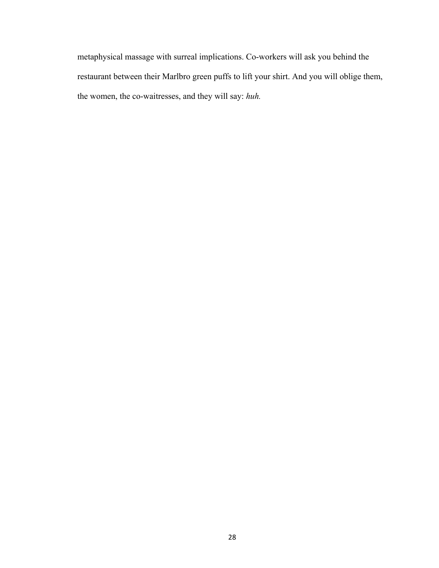metaphysical massage with surreal implications. Co-workers will ask you behind the restaurant between their Marlbro green puffs to lift your shirt. And you will oblige them, the women, the co-waitresses, and they will say: *huh.*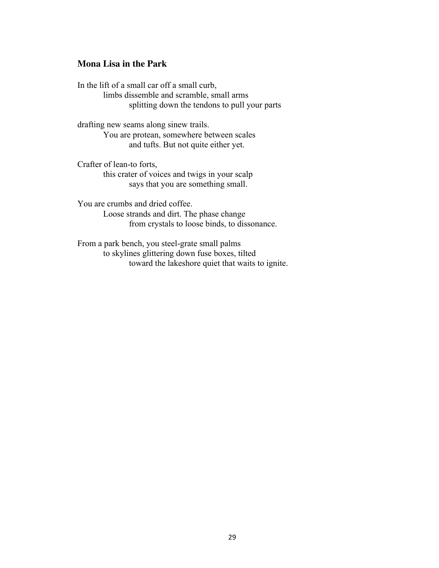### **Mona Lisa in the Park**

In the lift of a small car off a small curb, limbs dissemble and scramble, small arms splitting down the tendons to pull your parts

drafting new seams along sinew trails. You are protean, somewhere between scales and tufts. But not quite either yet.

Crafter of lean-to forts, this crater of voices and twigs in your scalp says that you are something small.

You are crumbs and dried coffee. Loose strands and dirt. The phase change from crystals to loose binds, to dissonance.

From a park bench, you steel-grate small palms to skylines glittering down fuse boxes, tilted toward the lakeshore quiet that waits to ignite.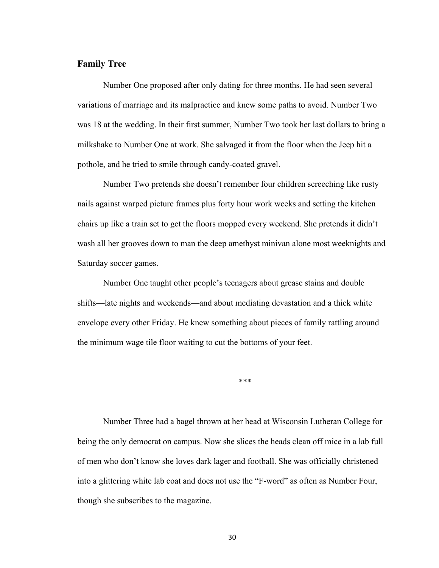# **Family Tree**

Number One proposed after only dating for three months. He had seen several variations of marriage and its malpractice and knew some paths to avoid. Number Two was 18 at the wedding. In their first summer, Number Two took her last dollars to bring a milkshake to Number One at work. She salvaged it from the floor when the Jeep hit a pothole, and he tried to smile through candy-coated gravel.

Number Two pretends she doesn't remember four children screeching like rusty nails against warped picture frames plus forty hour work weeks and setting the kitchen chairs up like a train set to get the floors mopped every weekend. She pretends it didn't wash all her grooves down to man the deep amethyst minivan alone most weeknights and Saturday soccer games.

Number One taught other people's teenagers about grease stains and double shifts—late nights and weekends—and about mediating devastation and a thick white envelope every other Friday. He knew something about pieces of family rattling around the minimum wage tile floor waiting to cut the bottoms of your feet.

\*\*\*

Number Three had a bagel thrown at her head at Wisconsin Lutheran College for being the only democrat on campus. Now she slices the heads clean off mice in a lab full of men who don't know she loves dark lager and football. She was officially christened into a glittering white lab coat and does not use the "F-word" as often as Number Four, though she subscribes to the magazine.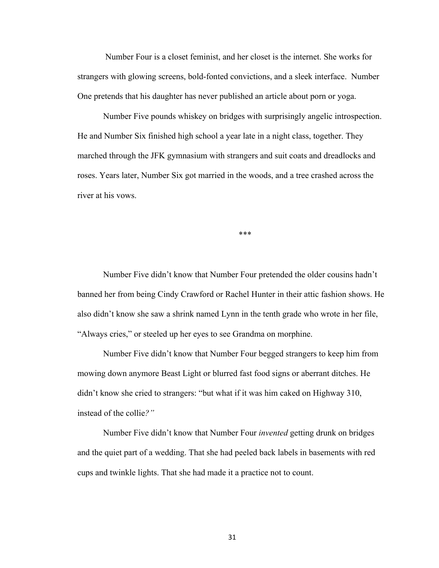Number Four is a closet feminist, and her closet is the internet. She works for strangers with glowing screens, bold-fonted convictions, and a sleek interface. Number One pretends that his daughter has never published an article about porn or yoga.

Number Five pounds whiskey on bridges with surprisingly angelic introspection. He and Number Six finished high school a year late in a night class, together. They marched through the JFK gymnasium with strangers and suit coats and dreadlocks and roses. Years later, Number Six got married in the woods, and a tree crashed across the river at his vows.

\*\*\*

Number Five didn't know that Number Four pretended the older cousins hadn't banned her from being Cindy Crawford or Rachel Hunter in their attic fashion shows. He also didn't know she saw a shrink named Lynn in the tenth grade who wrote in her file, "Always cries," or steeled up her eyes to see Grandma on morphine.

Number Five didn't know that Number Four begged strangers to keep him from mowing down anymore Beast Light or blurred fast food signs or aberrant ditches. He didn't know she cried to strangers: "but what if it was him caked on Highway 310, instead of the collie*?"*

Number Five didn't know that Number Four *invented* getting drunk on bridges and the quiet part of a wedding. That she had peeled back labels in basements with red cups and twinkle lights. That she had made it a practice not to count.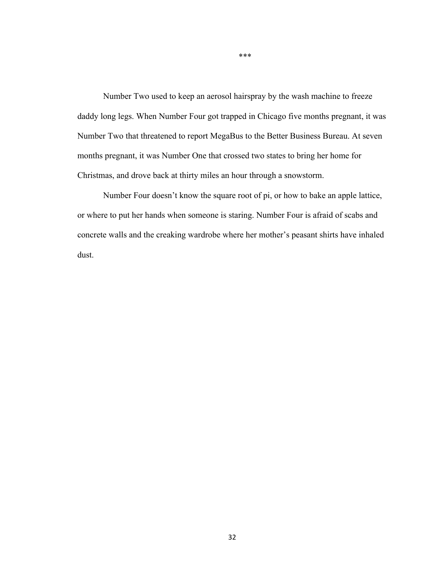Number Two used to keep an aerosol hairspray by the wash machine to freeze daddy long legs. When Number Four got trapped in Chicago five months pregnant, it was Number Two that threatened to report MegaBus to the Better Business Bureau. At seven months pregnant, it was Number One that crossed two states to bring her home for Christmas, and drove back at thirty miles an hour through a snowstorm.

Number Four doesn't know the square root of pi, or how to bake an apple lattice, or where to put her hands when someone is staring. Number Four is afraid of scabs and concrete walls and the creaking wardrobe where her mother's peasant shirts have inhaled dust.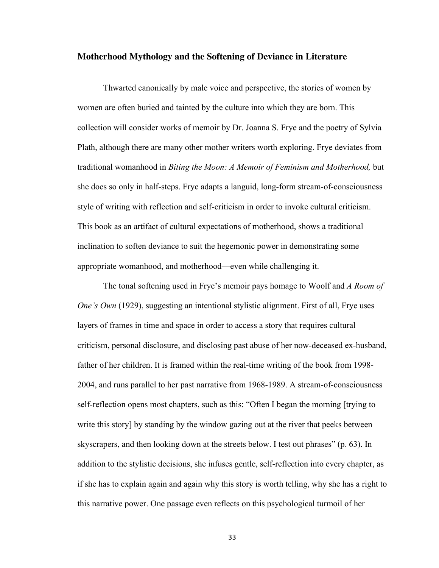#### **Motherhood Mythology and the Softening of Deviance in Literature**

Thwarted canonically by male voice and perspective, the stories of women by women are often buried and tainted by the culture into which they are born. This collection will consider works of memoir by Dr. Joanna S. Frye and the poetry of Sylvia Plath, although there are many other mother writers worth exploring. Frye deviates from traditional womanhood in *Biting the Moon: A Memoir of Feminism and Motherhood,* but she does so only in half-steps. Frye adapts a languid, long-form stream-of-consciousness style of writing with reflection and self-criticism in order to invoke cultural criticism. This book as an artifact of cultural expectations of motherhood, shows a traditional inclination to soften deviance to suit the hegemonic power in demonstrating some appropriate womanhood, and motherhood—even while challenging it.

The tonal softening used in Frye's memoir pays homage to Woolf and *A Room of One's Own* (1929), suggesting an intentional stylistic alignment. First of all, Frye uses layers of frames in time and space in order to access a story that requires cultural criticism, personal disclosure, and disclosing past abuse of her now-deceased ex-husband, father of her children. It is framed within the real-time writing of the book from 1998- 2004, and runs parallel to her past narrative from 1968-1989. A stream-of-consciousness self-reflection opens most chapters, such as this: "Often I began the morning [trying to write this story] by standing by the window gazing out at the river that peeks between skyscrapers, and then looking down at the streets below. I test out phrases" (p. 63). In addition to the stylistic decisions, she infuses gentle, self-reflection into every chapter, as if she has to explain again and again why this story is worth telling, why she has a right to this narrative power. One passage even reflects on this psychological turmoil of her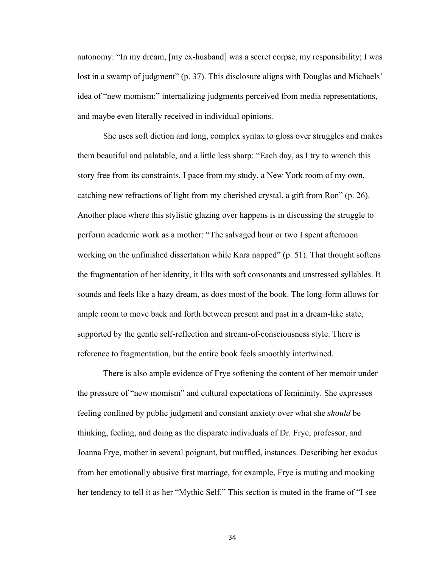autonomy: "In my dream, [my ex-husband] was a secret corpse, my responsibility; I was lost in a swamp of judgment" (p. 37). This disclosure aligns with Douglas and Michaels' idea of "new momism:" internalizing judgments perceived from media representations, and maybe even literally received in individual opinions.

She uses soft diction and long, complex syntax to gloss over struggles and makes them beautiful and palatable, and a little less sharp: "Each day, as I try to wrench this story free from its constraints, I pace from my study, a New York room of my own, catching new refractions of light from my cherished crystal, a gift from Ron" (p. 26). Another place where this stylistic glazing over happens is in discussing the struggle to perform academic work as a mother: "The salvaged hour or two I spent afternoon working on the unfinished dissertation while Kara napped" (p. 51). That thought softens the fragmentation of her identity, it lilts with soft consonants and unstressed syllables. It sounds and feels like a hazy dream, as does most of the book. The long-form allows for ample room to move back and forth between present and past in a dream-like state, supported by the gentle self-reflection and stream-of-consciousness style. There is reference to fragmentation, but the entire book feels smoothly intertwined.

There is also ample evidence of Frye softening the content of her memoir under the pressure of "new momism" and cultural expectations of femininity. She expresses feeling confined by public judgment and constant anxiety over what she *should* be thinking, feeling, and doing as the disparate individuals of Dr. Frye, professor, and Joanna Frye, mother in several poignant, but muffled, instances. Describing her exodus from her emotionally abusive first marriage, for example, Frye is muting and mocking her tendency to tell it as her "Mythic Self." This section is muted in the frame of "I see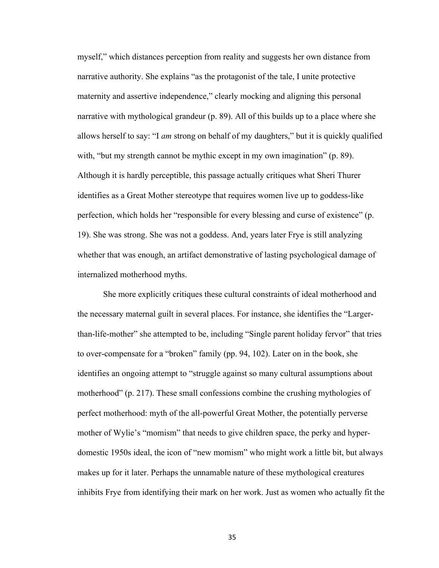myself," which distances perception from reality and suggests her own distance from narrative authority. She explains "as the protagonist of the tale, I unite protective maternity and assertive independence," clearly mocking and aligning this personal narrative with mythological grandeur (p. 89). All of this builds up to a place where she allows herself to say: "I *am* strong on behalf of my daughters," but it is quickly qualified with, "but my strength cannot be mythic except in my own imagination" (p. 89). Although it is hardly perceptible, this passage actually critiques what Sheri Thurer identifies as a Great Mother stereotype that requires women live up to goddess-like perfection, which holds her "responsible for every blessing and curse of existence" (p. 19). She was strong. She was not a goddess. And, years later Frye is still analyzing whether that was enough, an artifact demonstrative of lasting psychological damage of internalized motherhood myths.

She more explicitly critiques these cultural constraints of ideal motherhood and the necessary maternal guilt in several places. For instance, she identifies the "Largerthan-life-mother" she attempted to be, including "Single parent holiday fervor" that tries to over-compensate for a "broken" family (pp. 94, 102). Later on in the book, she identifies an ongoing attempt to "struggle against so many cultural assumptions about motherhood" (p. 217). These small confessions combine the crushing mythologies of perfect motherhood: myth of the all-powerful Great Mother, the potentially perverse mother of Wylie's "momism" that needs to give children space, the perky and hyperdomestic 1950s ideal, the icon of "new momism" who might work a little bit, but always makes up for it later. Perhaps the unnamable nature of these mythological creatures inhibits Frye from identifying their mark on her work. Just as women who actually fit the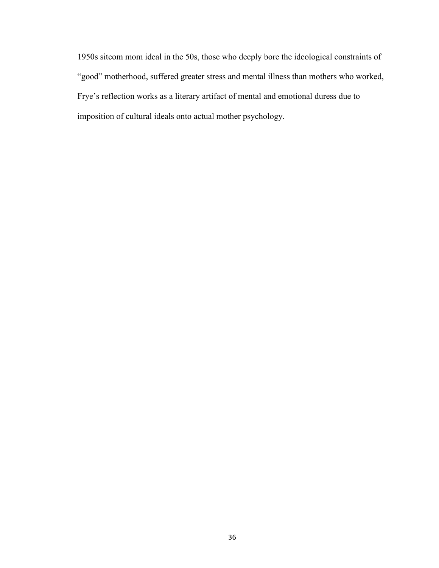1950s sitcom mom ideal in the 50s, those who deeply bore the ideological constraints of "good" motherhood, suffered greater stress and mental illness than mothers who worked, Frye's reflection works as a literary artifact of mental and emotional duress due to imposition of cultural ideals onto actual mother psychology.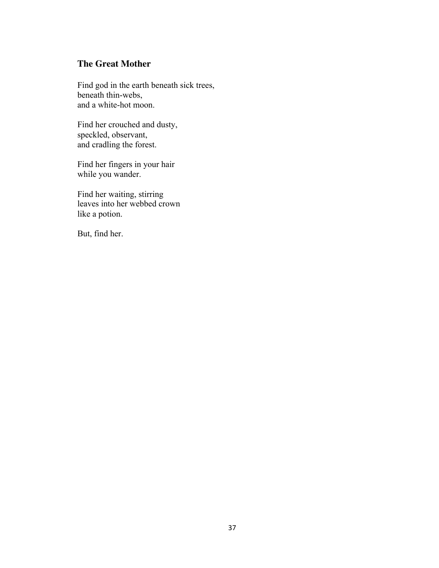# **The Great Mother**

Find god in the earth beneath sick trees, beneath thin-webs, and a white-hot moon.

Find her crouched and dusty, speckled, observant, and cradling the forest.

Find her fingers in your hair while you wander.

Find her waiting, stirring leaves into her webbed crown like a potion.

But, find her.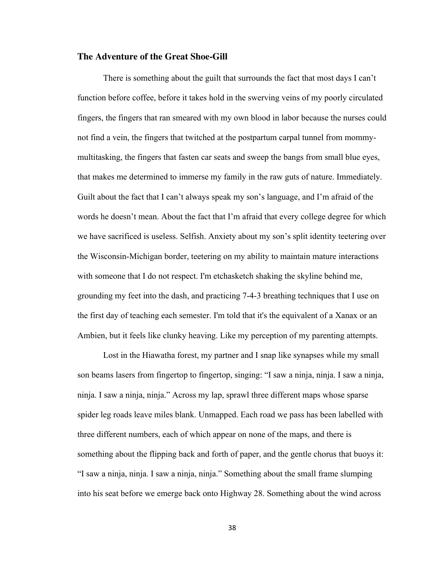# **The Adventure of the Great Shoe-Gill**

There is something about the guilt that surrounds the fact that most days I can't function before coffee, before it takes hold in the swerving veins of my poorly circulated fingers, the fingers that ran smeared with my own blood in labor because the nurses could not find a vein, the fingers that twitched at the postpartum carpal tunnel from mommymultitasking, the fingers that fasten car seats and sweep the bangs from small blue eyes, that makes me determined to immerse my family in the raw guts of nature. Immediately. Guilt about the fact that I can't always speak my son's language, and I'm afraid of the words he doesn't mean. About the fact that I'm afraid that every college degree for which we have sacrificed is useless. Selfish. Anxiety about my son's split identity teetering over the Wisconsin-Michigan border, teetering on my ability to maintain mature interactions with someone that I do not respect. I'm etchasketch shaking the skyline behind me, grounding my feet into the dash, and practicing 7-4-3 breathing techniques that I use on the first day of teaching each semester. I'm told that it's the equivalent of a Xanax or an Ambien, but it feels like clunky heaving. Like my perception of my parenting attempts.

Lost in the Hiawatha forest, my partner and I snap like synapses while my small son beams lasers from fingertop to fingertop, singing: "I saw a ninja, ninja. I saw a ninja, ninja. I saw a ninja, ninja." Across my lap, sprawl three different maps whose sparse spider leg roads leave miles blank. Unmapped. Each road we pass has been labelled with three different numbers, each of which appear on none of the maps, and there is something about the flipping back and forth of paper, and the gentle chorus that buoys it: "I saw a ninja, ninja. I saw a ninja, ninja." Something about the small frame slumping into his seat before we emerge back onto Highway 28. Something about the wind across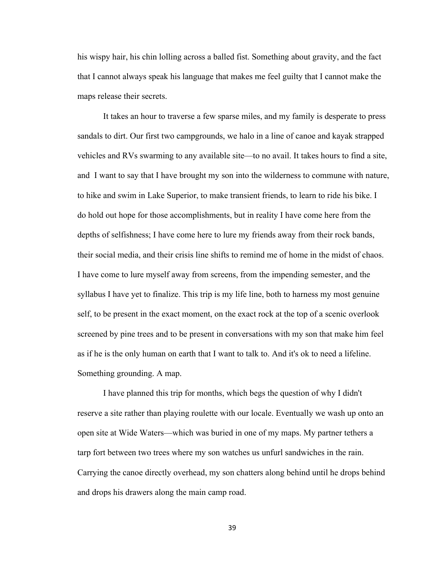his wispy hair, his chin lolling across a balled fist. Something about gravity, and the fact that I cannot always speak his language that makes me feel guilty that I cannot make the maps release their secrets.

It takes an hour to traverse a few sparse miles, and my family is desperate to press sandals to dirt. Our first two campgrounds, we halo in a line of canoe and kayak strapped vehicles and RVs swarming to any available site—to no avail. It takes hours to find a site, and I want to say that I have brought my son into the wilderness to commune with nature, to hike and swim in Lake Superior, to make transient friends, to learn to ride his bike. I do hold out hope for those accomplishments, but in reality I have come here from the depths of selfishness; I have come here to lure my friends away from their rock bands, their social media, and their crisis line shifts to remind me of home in the midst of chaos. I have come to lure myself away from screens, from the impending semester, and the syllabus I have yet to finalize. This trip is my life line, both to harness my most genuine self, to be present in the exact moment, on the exact rock at the top of a scenic overlook screened by pine trees and to be present in conversations with my son that make him feel as if he is the only human on earth that I want to talk to. And it's ok to need a lifeline. Something grounding. A map.

I have planned this trip for months, which begs the question of why I didn't reserve a site rather than playing roulette with our locale. Eventually we wash up onto an open site at Wide Waters—which was buried in one of my maps. My partner tethers a tarp fort between two trees where my son watches us unfurl sandwiches in the rain. Carrying the canoe directly overhead, my son chatters along behind until he drops behind and drops his drawers along the main camp road.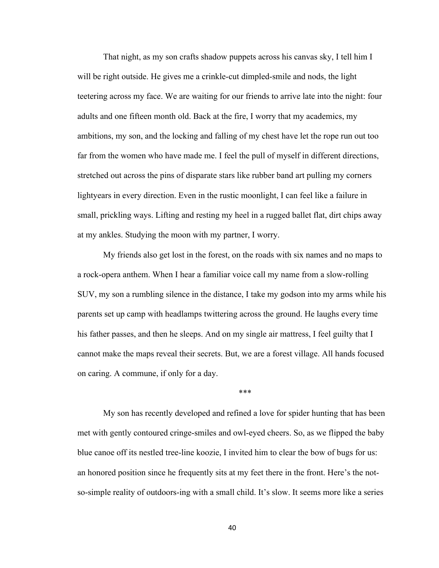That night, as my son crafts shadow puppets across his canvas sky, I tell him I will be right outside. He gives me a crinkle-cut dimpled-smile and nods, the light teetering across my face. We are waiting for our friends to arrive late into the night: four adults and one fifteen month old. Back at the fire, I worry that my academics, my ambitions, my son, and the locking and falling of my chest have let the rope run out too far from the women who have made me. I feel the pull of myself in different directions, stretched out across the pins of disparate stars like rubber band art pulling my corners lightyears in every direction. Even in the rustic moonlight, I can feel like a failure in small, prickling ways. Lifting and resting my heel in a rugged ballet flat, dirt chips away at my ankles. Studying the moon with my partner, I worry.

My friends also get lost in the forest, on the roads with six names and no maps to a rock-opera anthem. When I hear a familiar voice call my name from a slow-rolling SUV, my son a rumbling silence in the distance, I take my godson into my arms while his parents set up camp with headlamps twittering across the ground. He laughs every time his father passes, and then he sleeps. And on my single air mattress, I feel guilty that I cannot make the maps reveal their secrets. But, we are a forest village. All hands focused on caring. A commune, if only for a day.

\*\*\*

My son has recently developed and refined a love for spider hunting that has been met with gently contoured cringe-smiles and owl-eyed cheers. So, as we flipped the baby blue canoe off its nestled tree-line koozie, I invited him to clear the bow of bugs for us: an honored position since he frequently sits at my feet there in the front. Here's the notso-simple reality of outdoors-ing with a small child. It's slow. It seems more like a series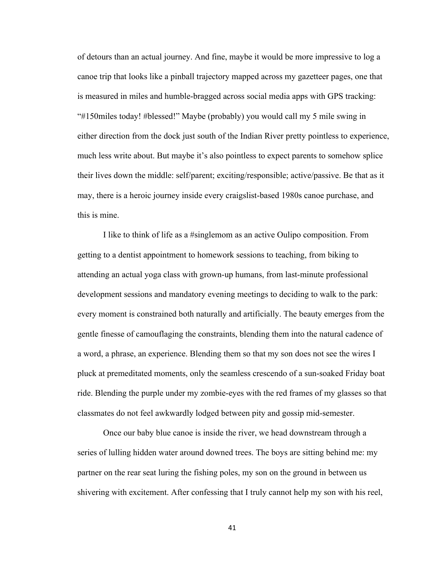of detours than an actual journey. And fine, maybe it would be more impressive to log a canoe trip that looks like a pinball trajectory mapped across my gazetteer pages, one that is measured in miles and humble-bragged across social media apps with GPS tracking: "#150miles today! #blessed!" Maybe (probably) you would call my 5 mile swing in either direction from the dock just south of the Indian River pretty pointless to experience, much less write about. But maybe it's also pointless to expect parents to somehow splice their lives down the middle: self/parent; exciting/responsible; active/passive. Be that as it may, there is a heroic journey inside every craigslist-based 1980s canoe purchase, and this is mine.

I like to think of life as a #singlemom as an active Oulipo composition. From getting to a dentist appointment to homework sessions to teaching, from biking to attending an actual yoga class with grown-up humans, from last-minute professional development sessions and mandatory evening meetings to deciding to walk to the park: every moment is constrained both naturally and artificially. The beauty emerges from the gentle finesse of camouflaging the constraints, blending them into the natural cadence of a word, a phrase, an experience. Blending them so that my son does not see the wires I pluck at premeditated moments, only the seamless crescendo of a sun-soaked Friday boat ride. Blending the purple under my zombie-eyes with the red frames of my glasses so that classmates do not feel awkwardly lodged between pity and gossip mid-semester.

Once our baby blue canoe is inside the river, we head downstream through a series of lulling hidden water around downed trees. The boys are sitting behind me: my partner on the rear seat luring the fishing poles, my son on the ground in between us shivering with excitement. After confessing that I truly cannot help my son with his reel,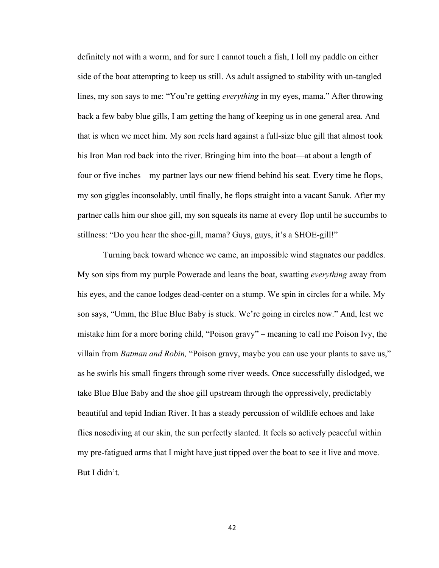definitely not with a worm, and for sure I cannot touch a fish, I loll my paddle on either side of the boat attempting to keep us still. As adult assigned to stability with un-tangled lines, my son says to me: "You're getting *everything* in my eyes, mama." After throwing back a few baby blue gills, I am getting the hang of keeping us in one general area. And that is when we meet him. My son reels hard against a full-size blue gill that almost took his Iron Man rod back into the river. Bringing him into the boat—at about a length of four or five inches—my partner lays our new friend behind his seat. Every time he flops, my son giggles inconsolably, until finally, he flops straight into a vacant Sanuk. After my partner calls him our shoe gill, my son squeals its name at every flop until he succumbs to stillness: "Do you hear the shoe-gill, mama? Guys, guys, it's a SHOE-gill!"

Turning back toward whence we came, an impossible wind stagnates our paddles. My son sips from my purple Powerade and leans the boat, swatting *everything* away from his eyes, and the canoe lodges dead-center on a stump. We spin in circles for a while. My son says, "Umm, the Blue Blue Baby is stuck. We're going in circles now." And, lest we mistake him for a more boring child, "Poison gravy" – meaning to call me Poison Ivy, the villain from *Batman and Robin,* "Poison gravy, maybe you can use your plants to save us," as he swirls his small fingers through some river weeds. Once successfully dislodged, we take Blue Blue Baby and the shoe gill upstream through the oppressively, predictably beautiful and tepid Indian River. It has a steady percussion of wildlife echoes and lake flies nosediving at our skin, the sun perfectly slanted. It feels so actively peaceful within my pre-fatigued arms that I might have just tipped over the boat to see it live and move. But I didn't.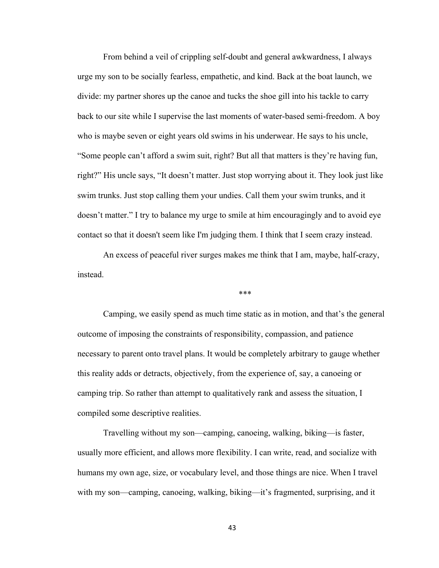From behind a veil of crippling self-doubt and general awkwardness, I always urge my son to be socially fearless, empathetic, and kind. Back at the boat launch, we divide: my partner shores up the canoe and tucks the shoe gill into his tackle to carry back to our site while I supervise the last moments of water-based semi-freedom. A boy who is maybe seven or eight years old swims in his underwear. He says to his uncle, "Some people can't afford a swim suit, right? But all that matters is they're having fun, right?" His uncle says, "It doesn't matter. Just stop worrying about it. They look just like swim trunks. Just stop calling them your undies. Call them your swim trunks, and it doesn't matter." I try to balance my urge to smile at him encouragingly and to avoid eye contact so that it doesn't seem like I'm judging them. I think that I seem crazy instead.

An excess of peaceful river surges makes me think that I am, maybe, half-crazy, instead.

\*\*\*

Camping, we easily spend as much time static as in motion, and that's the general outcome of imposing the constraints of responsibility, compassion, and patience necessary to parent onto travel plans. It would be completely arbitrary to gauge whether this reality adds or detracts, objectively, from the experience of, say, a canoeing or camping trip. So rather than attempt to qualitatively rank and assess the situation, I compiled some descriptive realities.

Travelling without my son—camping, canoeing, walking, biking—is faster, usually more efficient, and allows more flexibility. I can write, read, and socialize with humans my own age, size, or vocabulary level, and those things are nice. When I travel with my son—camping, canoeing, walking, biking—it's fragmented, surprising, and it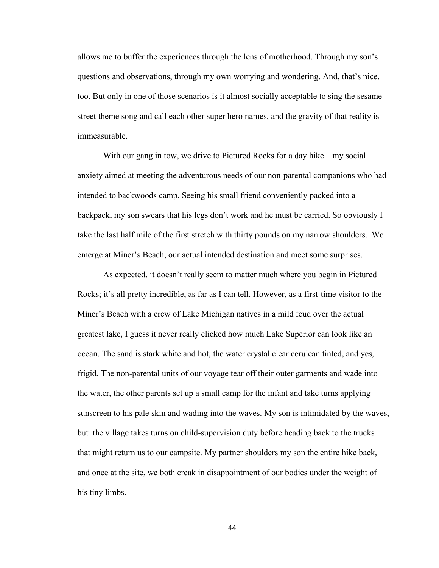allows me to buffer the experiences through the lens of motherhood. Through my son's questions and observations, through my own worrying and wondering. And, that's nice, too. But only in one of those scenarios is it almost socially acceptable to sing the sesame street theme song and call each other super hero names, and the gravity of that reality is immeasurable.

With our gang in tow, we drive to Pictured Rocks for a day hike – my social anxiety aimed at meeting the adventurous needs of our non-parental companions who had intended to backwoods camp. Seeing his small friend conveniently packed into a backpack, my son swears that his legs don't work and he must be carried. So obviously I take the last half mile of the first stretch with thirty pounds on my narrow shoulders. We emerge at Miner's Beach, our actual intended destination and meet some surprises.

As expected, it doesn't really seem to matter much where you begin in Pictured Rocks; it's all pretty incredible, as far as I can tell. However, as a first-time visitor to the Miner's Beach with a crew of Lake Michigan natives in a mild feud over the actual greatest lake, I guess it never really clicked how much Lake Superior can look like an ocean. The sand is stark white and hot, the water crystal clear cerulean tinted, and yes, frigid. The non-parental units of our voyage tear off their outer garments and wade into the water, the other parents set up a small camp for the infant and take turns applying sunscreen to his pale skin and wading into the waves. My son is intimidated by the waves, but the village takes turns on child-supervision duty before heading back to the trucks that might return us to our campsite. My partner shoulders my son the entire hike back, and once at the site, we both creak in disappointment of our bodies under the weight of his tiny limbs.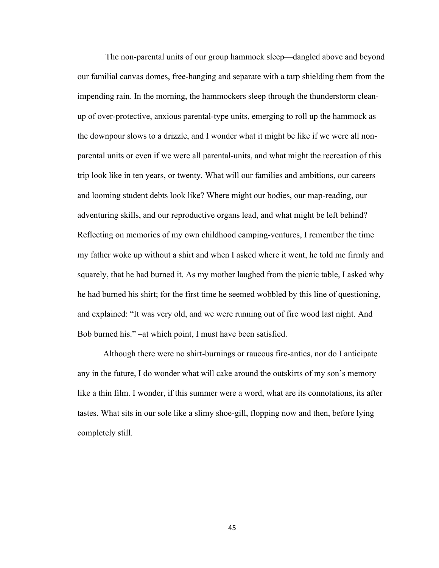The non-parental units of our group hammock sleep—dangled above and beyond our familial canvas domes, free-hanging and separate with a tarp shielding them from the impending rain. In the morning, the hammockers sleep through the thunderstorm cleanup of over-protective, anxious parental-type units, emerging to roll up the hammock as the downpour slows to a drizzle, and I wonder what it might be like if we were all nonparental units or even if we were all parental-units, and what might the recreation of this trip look like in ten years, or twenty. What will our families and ambitions, our careers and looming student debts look like? Where might our bodies, our map-reading, our adventuring skills, and our reproductive organs lead, and what might be left behind? Reflecting on memories of my own childhood camping-ventures, I remember the time my father woke up without a shirt and when I asked where it went, he told me firmly and squarely, that he had burned it. As my mother laughed from the picnic table, I asked why he had burned his shirt; for the first time he seemed wobbled by this line of questioning, and explained: "It was very old, and we were running out of fire wood last night. And Bob burned his." –at which point, I must have been satisfied.

Although there were no shirt-burnings or raucous fire-antics, nor do I anticipate any in the future, I do wonder what will cake around the outskirts of my son's memory like a thin film. I wonder, if this summer were a word, what are its connotations, its after tastes. What sits in our sole like a slimy shoe-gill, flopping now and then, before lying completely still.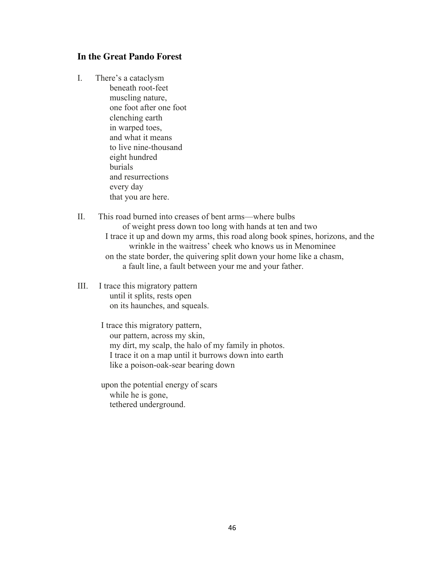# **In the Great Pando Forest**

- I. There's a cataclysm beneath root-feet muscling nature, one foot after one foot clenching earth in warped toes, and what it means to live nine-thousand eight hundred burials and resurrections every day that you are here.
- II. This road burned into creases of bent arms—where bulbs of weight press down too long with hands at ten and two I trace it up and down my arms, this road along book spines, horizons, and the wrinkle in the waitress' cheek who knows us in Menominee on the state border, the quivering split down your home like a chasm, a fault line, a fault between your me and your father.
- III. I trace this migratory pattern until it splits, rests open on its haunches, and squeals.

I trace this migratory pattern, our pattern, across my skin, my dirt, my scalp, the halo of my family in photos. I trace it on a map until it burrows down into earth like a poison-oak-sear bearing down

upon the potential energy of scars while he is gone, tethered underground.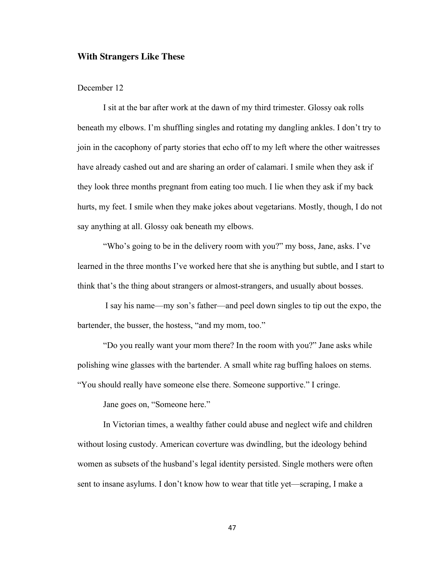#### **With Strangers Like These**

### December 12

I sit at the bar after work at the dawn of my third trimester. Glossy oak rolls beneath my elbows. I'm shuffling singles and rotating my dangling ankles. I don't try to join in the cacophony of party stories that echo off to my left where the other waitresses have already cashed out and are sharing an order of calamari. I smile when they ask if they look three months pregnant from eating too much. I lie when they ask if my back hurts, my feet. I smile when they make jokes about vegetarians. Mostly, though, I do not say anything at all. Glossy oak beneath my elbows.

"Who's going to be in the delivery room with you?" my boss, Jane, asks. I've learned in the three months I've worked here that she is anything but subtle, and I start to think that's the thing about strangers or almost-strangers, and usually about bosses.

I say his name—my son's father—and peel down singles to tip out the expo, the bartender, the busser, the hostess, "and my mom, too."

"Do you really want your mom there? In the room with you?" Jane asks while polishing wine glasses with the bartender. A small white rag buffing haloes on stems. "You should really have someone else there. Someone supportive." I cringe.

Jane goes on, "Someone here."

In Victorian times, a wealthy father could abuse and neglect wife and children without losing custody. American coverture was dwindling, but the ideology behind women as subsets of the husband's legal identity persisted. Single mothers were often sent to insane asylums. I don't know how to wear that title yet—scraping, I make a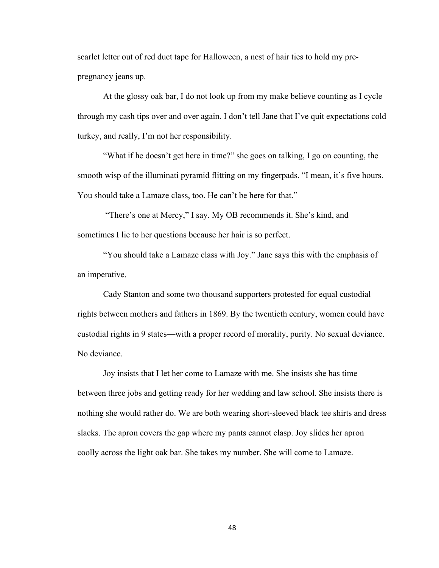scarlet letter out of red duct tape for Halloween, a nest of hair ties to hold my prepregnancy jeans up.

At the glossy oak bar, I do not look up from my make believe counting as I cycle through my cash tips over and over again. I don't tell Jane that I've quit expectations cold turkey, and really, I'm not her responsibility.

"What if he doesn't get here in time?" she goes on talking, I go on counting, the smooth wisp of the illuminati pyramid flitting on my fingerpads. "I mean, it's five hours. You should take a Lamaze class, too. He can't be here for that."

"There's one at Mercy," I say. My OB recommends it. She's kind, and sometimes I lie to her questions because her hair is so perfect.

"You should take a Lamaze class with Joy." Jane says this with the emphasis of an imperative.

Cady Stanton and some two thousand supporters protested for equal custodial rights between mothers and fathers in 1869. By the twentieth century, women could have custodial rights in 9 states—with a proper record of morality, purity. No sexual deviance. No deviance.

Joy insists that I let her come to Lamaze with me. She insists she has time between three jobs and getting ready for her wedding and law school. She insists there is nothing she would rather do. We are both wearing short-sleeved black tee shirts and dress slacks. The apron covers the gap where my pants cannot clasp. Joy slides her apron coolly across the light oak bar. She takes my number. She will come to Lamaze.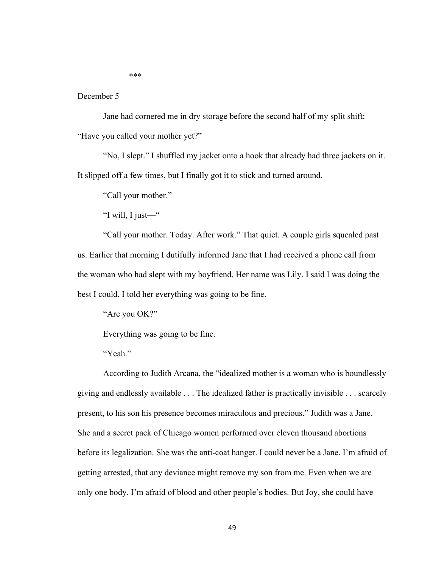\*\*\*

### December 5

Jane had cornered me in dry storage before the second half of my split shift: "Have you called your mother yet?"

"No, I slept." I shuffled my jacket onto a hook that already had three jackets on it. It slipped off a few times, but I finally got it to stick and turned around.

"Call your mother."

"I will, I just—"

"Call your mother. Today. After work." That quiet. A couple girls squealed past us. Earlier that morning I dutifully informed Jane that I had received a phone call from the woman who had slept with my boyfriend. Her name was Lily. I said I was doing the best I could. I told her everything was going to be fine.

"Are you OK?"

Everything was going to be fine.

"Yeah."

According to Judith Arcana, the "idealized mother is a woman who is boundlessly giving and endlessly available . . . The idealized father is practically invisible . . . scarcely present, to his son his presence becomes miraculous and precious." Judith was a Jane. She and a secret pack of Chicago women performed over eleven thousand abortions before its legalization. She was the anti-coat hanger. I could never be a Jane. I'm afraid of getting arrested, that any deviance might remove my son from me. Even when we are only one body. I'm afraid of blood and other people's bodies. But Joy, she could have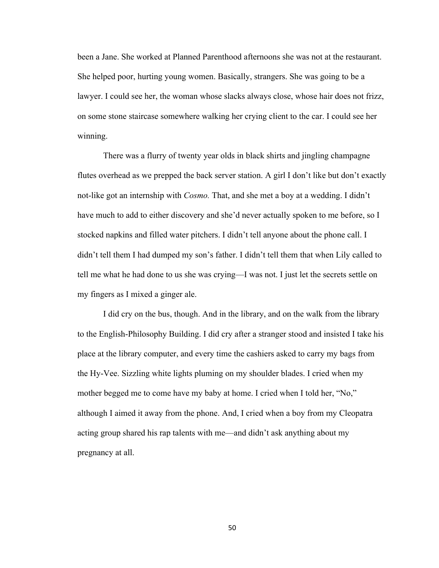been a Jane. She worked at Planned Parenthood afternoons she was not at the restaurant. She helped poor, hurting young women. Basically, strangers. She was going to be a lawyer. I could see her, the woman whose slacks always close, whose hair does not frizz, on some stone staircase somewhere walking her crying client to the car. I could see her winning.

There was a flurry of twenty year olds in black shirts and jingling champagne flutes overhead as we prepped the back server station. A girl I don't like but don't exactly not-like got an internship with *Cosmo.* That, and she met a boy at a wedding. I didn't have much to add to either discovery and she'd never actually spoken to me before, so I stocked napkins and filled water pitchers. I didn't tell anyone about the phone call. I didn't tell them I had dumped my son's father. I didn't tell them that when Lily called to tell me what he had done to us she was crying—I was not. I just let the secrets settle on my fingers as I mixed a ginger ale.

I did cry on the bus, though. And in the library, and on the walk from the library to the English-Philosophy Building. I did cry after a stranger stood and insisted I take his place at the library computer, and every time the cashiers asked to carry my bags from the Hy-Vee. Sizzling white lights pluming on my shoulder blades. I cried when my mother begged me to come have my baby at home. I cried when I told her, "No," although I aimed it away from the phone. And, I cried when a boy from my Cleopatra acting group shared his rap talents with me—and didn't ask anything about my pregnancy at all.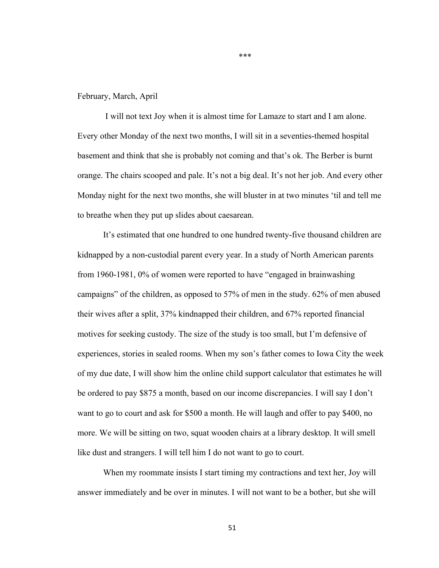#### February, March, April

I will not text Joy when it is almost time for Lamaze to start and I am alone. Every other Monday of the next two months, I will sit in a seventies-themed hospital basement and think that she is probably not coming and that's ok. The Berber is burnt orange. The chairs scooped and pale. It's not a big deal. It's not her job. And every other Monday night for the next two months, she will bluster in at two minutes 'til and tell me to breathe when they put up slides about caesarean.

\*\*\*

It's estimated that one hundred to one hundred twenty-five thousand children are kidnapped by a non-custodial parent every year. In a study of North American parents from 1960-1981, 0% of women were reported to have "engaged in brainwashing campaigns" of the children, as opposed to 57% of men in the study. 62% of men abused their wives after a split, 37% kindnapped their children, and 67% reported financial motives for seeking custody. The size of the study is too small, but I'm defensive of experiences, stories in sealed rooms. When my son's father comes to Iowa City the week of my due date, I will show him the online child support calculator that estimates he will be ordered to pay \$875 a month, based on our income discrepancies. I will say I don't want to go to court and ask for \$500 a month. He will laugh and offer to pay \$400, no more. We will be sitting on two, squat wooden chairs at a library desktop. It will smell like dust and strangers. I will tell him I do not want to go to court.

When my roommate insists I start timing my contractions and text her, Joy will answer immediately and be over in minutes. I will not want to be a bother, but she will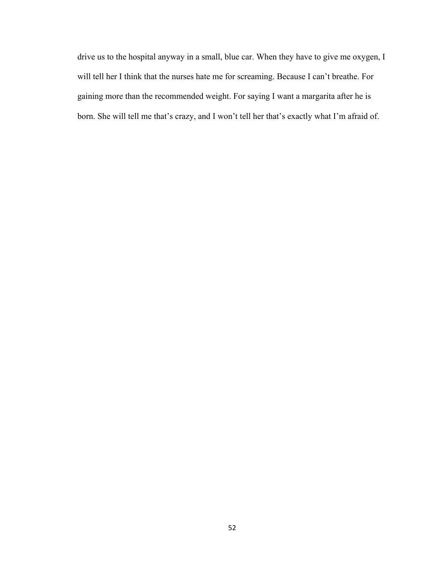drive us to the hospital anyway in a small, blue car. When they have to give me oxygen, I will tell her I think that the nurses hate me for screaming. Because I can't breathe. For gaining more than the recommended weight. For saying I want a margarita after he is born. She will tell me that's crazy, and I won't tell her that's exactly what I'm afraid of.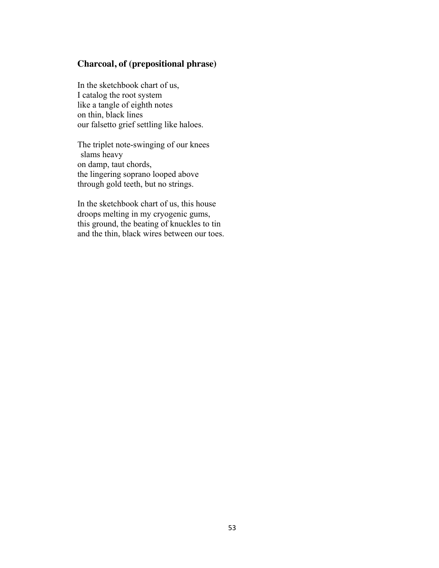# **Charcoal, of (prepositional phrase)**

In the sketchbook chart of us, I catalog the root system like a tangle of eighth notes on thin, black lines our falsetto grief settling like haloes.

The triplet note-swinging of our knees slams heavy on damp, taut chords, the lingering soprano looped above through gold teeth, but no strings.

In the sketchbook chart of us, this house droops melting in my cryogenic gums, this ground, the beating of knuckles to tin and the thin, black wires between our toes.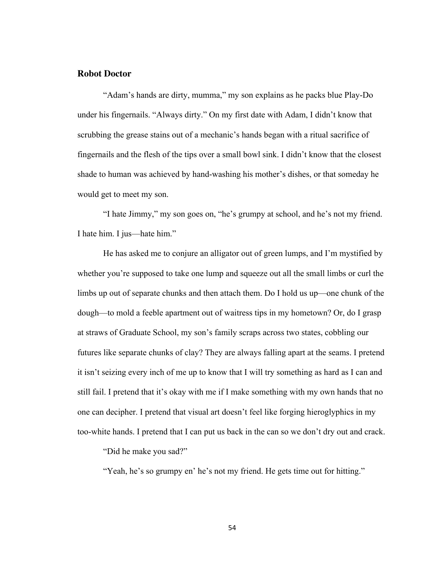#### **Robot Doctor**

"Adam's hands are dirty, mumma," my son explains as he packs blue Play-Do under his fingernails. "Always dirty." On my first date with Adam, I didn't know that scrubbing the grease stains out of a mechanic's hands began with a ritual sacrifice of fingernails and the flesh of the tips over a small bowl sink. I didn't know that the closest shade to human was achieved by hand-washing his mother's dishes, or that someday he would get to meet my son.

"I hate Jimmy," my son goes on, "he's grumpy at school, and he's not my friend. I hate him. I jus—hate him."

He has asked me to conjure an alligator out of green lumps, and I'm mystified by whether you're supposed to take one lump and squeeze out all the small limbs or curl the limbs up out of separate chunks and then attach them. Do I hold us up—one chunk of the dough—to mold a feeble apartment out of waitress tips in my hometown? Or, do I grasp at straws of Graduate School, my son's family scraps across two states, cobbling our futures like separate chunks of clay? They are always falling apart at the seams. I pretend it isn't seizing every inch of me up to know that I will try something as hard as I can and still fail. I pretend that it's okay with me if I make something with my own hands that no one can decipher. I pretend that visual art doesn't feel like forging hieroglyphics in my too-white hands. I pretend that I can put us back in the can so we don't dry out and crack.

"Did he make you sad?"

"Yeah, he's so grumpy en' he's not my friend. He gets time out for hitting."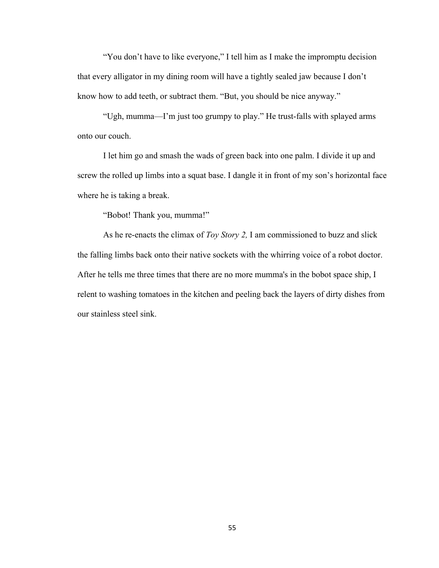"You don't have to like everyone," I tell him as I make the impromptu decision that every alligator in my dining room will have a tightly sealed jaw because I don't know how to add teeth, or subtract them. "But, you should be nice anyway."

"Ugh, mumma—I'm just too grumpy to play." He trust-falls with splayed arms onto our couch.

I let him go and smash the wads of green back into one palm. I divide it up and screw the rolled up limbs into a squat base. I dangle it in front of my son's horizontal face where he is taking a break.

"Bobot! Thank you, mumma!"

As he re-enacts the climax of *Toy Story 2,* I am commissioned to buzz and slick the falling limbs back onto their native sockets with the whirring voice of a robot doctor. After he tells me three times that there are no more mumma's in the bobot space ship, I relent to washing tomatoes in the kitchen and peeling back the layers of dirty dishes from our stainless steel sink.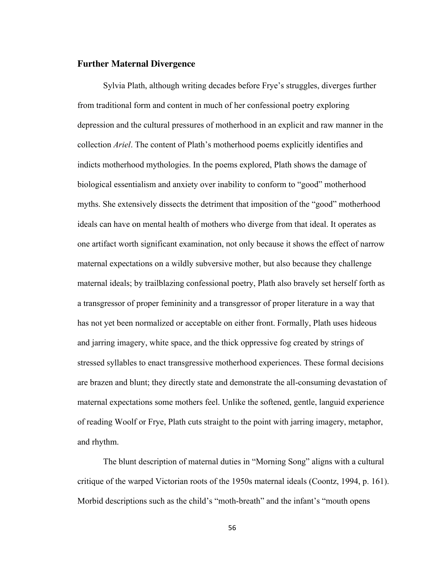#### **Further Maternal Divergence**

Sylvia Plath, although writing decades before Frye's struggles, diverges further from traditional form and content in much of her confessional poetry exploring depression and the cultural pressures of motherhood in an explicit and raw manner in the collection *Ariel*. The content of Plath's motherhood poems explicitly identifies and indicts motherhood mythologies. In the poems explored, Plath shows the damage of biological essentialism and anxiety over inability to conform to "good" motherhood myths. She extensively dissects the detriment that imposition of the "good" motherhood ideals can have on mental health of mothers who diverge from that ideal. It operates as one artifact worth significant examination, not only because it shows the effect of narrow maternal expectations on a wildly subversive mother, but also because they challenge maternal ideals; by trailblazing confessional poetry, Plath also bravely set herself forth as a transgressor of proper femininity and a transgressor of proper literature in a way that has not yet been normalized or acceptable on either front. Formally, Plath uses hideous and jarring imagery, white space, and the thick oppressive fog created by strings of stressed syllables to enact transgressive motherhood experiences. These formal decisions are brazen and blunt; they directly state and demonstrate the all-consuming devastation of maternal expectations some mothers feel. Unlike the softened, gentle, languid experience of reading Woolf or Frye, Plath cuts straight to the point with jarring imagery, metaphor, and rhythm.

The blunt description of maternal duties in "Morning Song" aligns with a cultural critique of the warped Victorian roots of the 1950s maternal ideals (Coontz, 1994, p. 161). Morbid descriptions such as the child's "moth-breath" and the infant's "mouth opens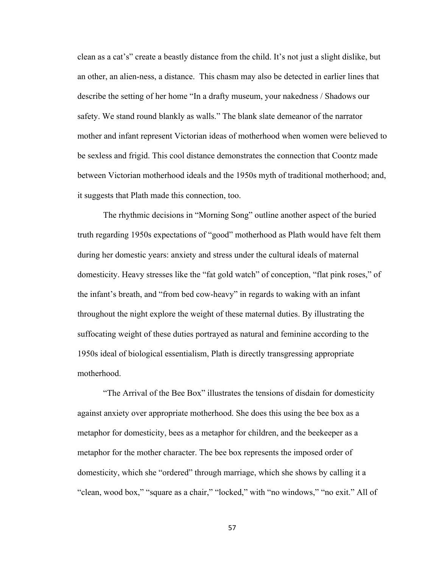clean as a cat's" create a beastly distance from the child. It's not just a slight dislike, but an other, an alien-ness, a distance. This chasm may also be detected in earlier lines that describe the setting of her home "In a drafty museum, your nakedness / Shadows our safety. We stand round blankly as walls." The blank slate demeanor of the narrator mother and infant represent Victorian ideas of motherhood when women were believed to be sexless and frigid. This cool distance demonstrates the connection that Coontz made between Victorian motherhood ideals and the 1950s myth of traditional motherhood; and, it suggests that Plath made this connection, too.

The rhythmic decisions in "Morning Song" outline another aspect of the buried truth regarding 1950s expectations of "good" motherhood as Plath would have felt them during her domestic years: anxiety and stress under the cultural ideals of maternal domesticity. Heavy stresses like the "fat gold watch" of conception, "flat pink roses," of the infant's breath, and "from bed cow-heavy" in regards to waking with an infant throughout the night explore the weight of these maternal duties. By illustrating the suffocating weight of these duties portrayed as natural and feminine according to the 1950s ideal of biological essentialism, Plath is directly transgressing appropriate motherhood.

"The Arrival of the Bee Box" illustrates the tensions of disdain for domesticity against anxiety over appropriate motherhood. She does this using the bee box as a metaphor for domesticity, bees as a metaphor for children, and the beekeeper as a metaphor for the mother character. The bee box represents the imposed order of domesticity, which she "ordered" through marriage, which she shows by calling it a "clean, wood box," "square as a chair," "locked," with "no windows," "no exit." All of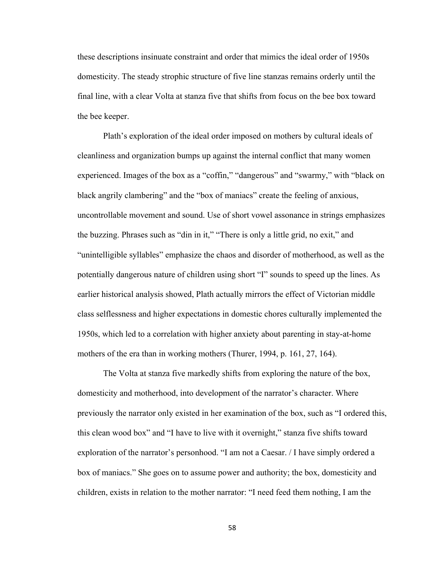these descriptions insinuate constraint and order that mimics the ideal order of 1950s domesticity. The steady strophic structure of five line stanzas remains orderly until the final line, with a clear Volta at stanza five that shifts from focus on the bee box toward the bee keeper.

Plath's exploration of the ideal order imposed on mothers by cultural ideals of cleanliness and organization bumps up against the internal conflict that many women experienced. Images of the box as a "coffin," "dangerous" and "swarmy," with "black on black angrily clambering" and the "box of maniacs" create the feeling of anxious, uncontrollable movement and sound. Use of short vowel assonance in strings emphasizes the buzzing. Phrases such as "din in it," "There is only a little grid, no exit," and "unintelligible syllables" emphasize the chaos and disorder of motherhood, as well as the potentially dangerous nature of children using short "I" sounds to speed up the lines. As earlier historical analysis showed, Plath actually mirrors the effect of Victorian middle class selflessness and higher expectations in domestic chores culturally implemented the 1950s, which led to a correlation with higher anxiety about parenting in stay-at-home mothers of the era than in working mothers (Thurer, 1994, p. 161, 27, 164).

The Volta at stanza five markedly shifts from exploring the nature of the box, domesticity and motherhood, into development of the narrator's character. Where previously the narrator only existed in her examination of the box, such as "I ordered this, this clean wood box" and "I have to live with it overnight," stanza five shifts toward exploration of the narrator's personhood. "I am not a Caesar. / I have simply ordered a box of maniacs." She goes on to assume power and authority; the box, domesticity and children, exists in relation to the mother narrator: "I need feed them nothing, I am the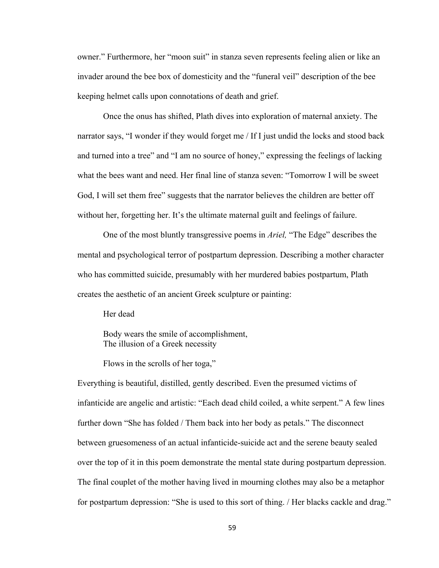owner." Furthermore, her "moon suit" in stanza seven represents feeling alien or like an invader around the bee box of domesticity and the "funeral veil" description of the bee keeping helmet calls upon connotations of death and grief.

Once the onus has shifted, Plath dives into exploration of maternal anxiety. The narrator says, "I wonder if they would forget me / If I just undid the locks and stood back and turned into a tree" and "I am no source of honey," expressing the feelings of lacking what the bees want and need. Her final line of stanza seven: "Tomorrow I will be sweet God, I will set them free" suggests that the narrator believes the children are better off without her, forgetting her. It's the ultimate maternal guilt and feelings of failure.

One of the most bluntly transgressive poems in *Ariel,* "The Edge" describes the mental and psychological terror of postpartum depression. Describing a mother character who has committed suicide, presumably with her murdered babies postpartum, Plath creates the aesthetic of an ancient Greek sculpture or painting:

Her dead

Body wears the smile of accomplishment, The illusion of a Greek necessity

Flows in the scrolls of her toga,"

Everything is beautiful, distilled, gently described. Even the presumed victims of infanticide are angelic and artistic: "Each dead child coiled, a white serpent." A few lines further down "She has folded / Them back into her body as petals." The disconnect between gruesomeness of an actual infanticide-suicide act and the serene beauty sealed over the top of it in this poem demonstrate the mental state during postpartum depression. The final couplet of the mother having lived in mourning clothes may also be a metaphor for postpartum depression: "She is used to this sort of thing. / Her blacks cackle and drag."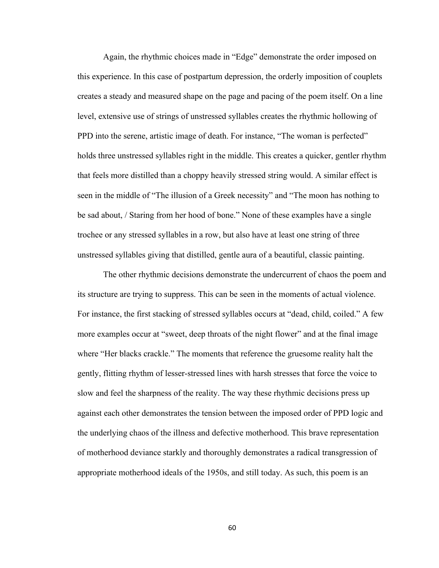Again, the rhythmic choices made in "Edge" demonstrate the order imposed on this experience. In this case of postpartum depression, the orderly imposition of couplets creates a steady and measured shape on the page and pacing of the poem itself. On a line level, extensive use of strings of unstressed syllables creates the rhythmic hollowing of PPD into the serene, artistic image of death. For instance, "The woman is perfected" holds three unstressed syllables right in the middle. This creates a quicker, gentler rhythm that feels more distilled than a choppy heavily stressed string would. A similar effect is seen in the middle of "The illusion of a Greek necessity" and "The moon has nothing to be sad about, / Staring from her hood of bone." None of these examples have a single trochee or any stressed syllables in a row, but also have at least one string of three unstressed syllables giving that distilled, gentle aura of a beautiful, classic painting.

The other rhythmic decisions demonstrate the undercurrent of chaos the poem and its structure are trying to suppress. This can be seen in the moments of actual violence. For instance, the first stacking of stressed syllables occurs at "dead, child, coiled." A few more examples occur at "sweet, deep throats of the night flower" and at the final image where "Her blacks crackle." The moments that reference the gruesome reality halt the gently, flitting rhythm of lesser-stressed lines with harsh stresses that force the voice to slow and feel the sharpness of the reality. The way these rhythmic decisions press up against each other demonstrates the tension between the imposed order of PPD logic and the underlying chaos of the illness and defective motherhood. This brave representation of motherhood deviance starkly and thoroughly demonstrates a radical transgression of appropriate motherhood ideals of the 1950s, and still today. As such, this poem is an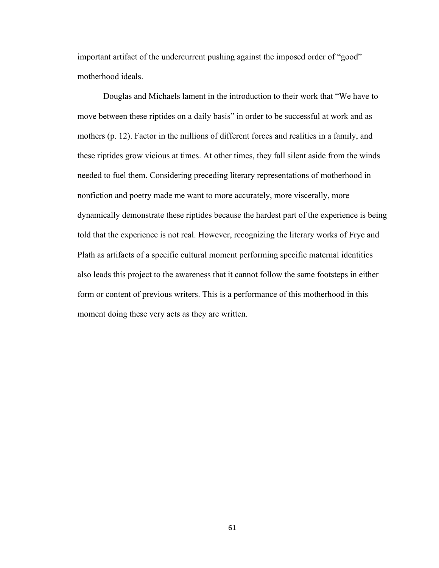important artifact of the undercurrent pushing against the imposed order of "good" motherhood ideals.

Douglas and Michaels lament in the introduction to their work that "We have to move between these riptides on a daily basis" in order to be successful at work and as mothers (p. 12). Factor in the millions of different forces and realities in a family, and these riptides grow vicious at times. At other times, they fall silent aside from the winds needed to fuel them. Considering preceding literary representations of motherhood in nonfiction and poetry made me want to more accurately, more viscerally, more dynamically demonstrate these riptides because the hardest part of the experience is being told that the experience is not real. However, recognizing the literary works of Frye and Plath as artifacts of a specific cultural moment performing specific maternal identities also leads this project to the awareness that it cannot follow the same footsteps in either form or content of previous writers. This is a performance of this motherhood in this moment doing these very acts as they are written.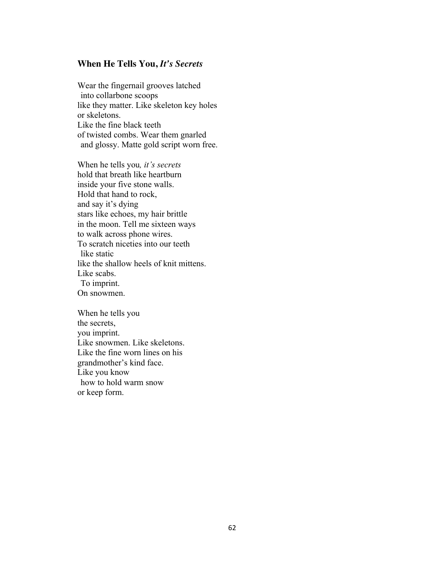## **When He Tells You,** *It's Secrets*

Wear the fingernail grooves latched into collarbone scoops like they matter. Like skeleton key holes or skeletons. Like the fine black teeth of twisted combs. Wear them gnarled and glossy. Matte gold script worn free.

When he tells you*, it's secrets* hold that breath like heartburn inside your five stone walls. Hold that hand to rock, and say it's dying stars like echoes, my hair brittle in the moon. Tell me sixteen ways to walk across phone wires. To scratch niceties into our teeth like static like the shallow heels of knit mittens. Like scabs. To imprint. On snowmen.

When he tells you the secrets, you imprint. Like snowmen. Like skeletons. Like the fine worn lines on his grandmother's kind face. Like you know how to hold warm snow or keep form.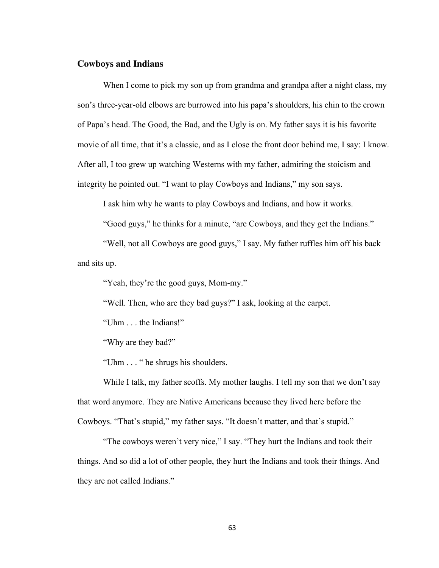### **Cowboys and Indians**

When I come to pick my son up from grandma and grandpa after a night class, my son's three-year-old elbows are burrowed into his papa's shoulders, his chin to the crown of Papa's head. The Good, the Bad, and the Ugly is on. My father says it is his favorite movie of all time, that it's a classic, and as I close the front door behind me, I say: I know. After all, I too grew up watching Westerns with my father, admiring the stoicism and integrity he pointed out. "I want to play Cowboys and Indians," my son says.

I ask him why he wants to play Cowboys and Indians, and how it works.

"Good guys," he thinks for a minute, "are Cowboys, and they get the Indians."

"Well, not all Cowboys are good guys," I say. My father ruffles him off his back and sits up.

"Yeah, they're the good guys, Mom-my."

"Well. Then, who are they bad guys?" I ask, looking at the carpet.

"Uhm . . . the Indians!"

"Why are they bad?"

"Uhm . . . " he shrugs his shoulders.

While I talk, my father scoffs. My mother laughs. I tell my son that we don't say that word anymore. They are Native Americans because they lived here before the Cowboys. "That's stupid," my father says. "It doesn't matter, and that's stupid."

"The cowboys weren't very nice," I say. "They hurt the Indians and took their things. And so did a lot of other people, they hurt the Indians and took their things. And they are not called Indians."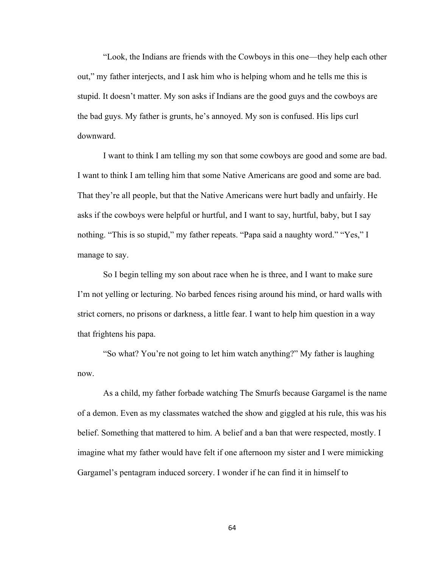"Look, the Indians are friends with the Cowboys in this one—they help each other out," my father interjects, and I ask him who is helping whom and he tells me this is stupid. It doesn't matter. My son asks if Indians are the good guys and the cowboys are the bad guys. My father is grunts, he's annoyed. My son is confused. His lips curl downward.

I want to think I am telling my son that some cowboys are good and some are bad. I want to think I am telling him that some Native Americans are good and some are bad. That they're all people, but that the Native Americans were hurt badly and unfairly. He asks if the cowboys were helpful or hurtful, and I want to say, hurtful, baby, but I say nothing. "This is so stupid," my father repeats. "Papa said a naughty word." "Yes," I manage to say.

So I begin telling my son about race when he is three, and I want to make sure I'm not yelling or lecturing. No barbed fences rising around his mind, or hard walls with strict corners, no prisons or darkness, a little fear. I want to help him question in a way that frightens his papa.

"So what? You're not going to let him watch anything?" My father is laughing now.

As a child, my father forbade watching The Smurfs because Gargamel is the name of a demon. Even as my classmates watched the show and giggled at his rule, this was his belief. Something that mattered to him. A belief and a ban that were respected, mostly. I imagine what my father would have felt if one afternoon my sister and I were mimicking Gargamel's pentagram induced sorcery. I wonder if he can find it in himself to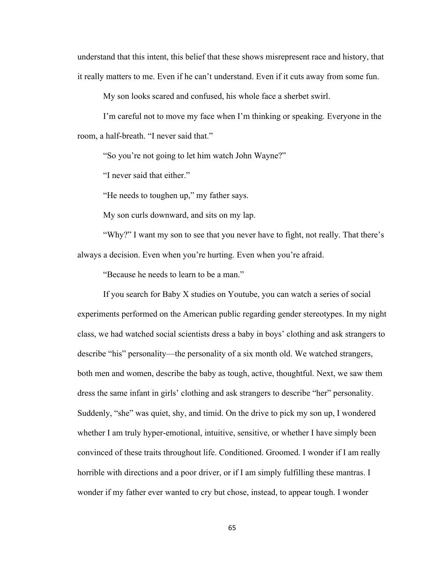understand that this intent, this belief that these shows misrepresent race and history, that it really matters to me. Even if he can't understand. Even if it cuts away from some fun.

My son looks scared and confused, his whole face a sherbet swirl.

I'm careful not to move my face when I'm thinking or speaking. Everyone in the room, a half-breath. "I never said that."

"So you're not going to let him watch John Wayne?"

"I never said that either."

"He needs to toughen up," my father says.

My son curls downward, and sits on my lap.

"Why?" I want my son to see that you never have to fight, not really. That there's always a decision. Even when you're hurting. Even when you're afraid.

"Because he needs to learn to be a man."

If you search for Baby X studies on Youtube, you can watch a series of social experiments performed on the American public regarding gender stereotypes. In my night class, we had watched social scientists dress a baby in boys' clothing and ask strangers to describe "his" personality—the personality of a six month old. We watched strangers, both men and women, describe the baby as tough, active, thoughtful. Next, we saw them dress the same infant in girls' clothing and ask strangers to describe "her" personality. Suddenly, "she" was quiet, shy, and timid. On the drive to pick my son up, I wondered whether I am truly hyper-emotional, intuitive, sensitive, or whether I have simply been convinced of these traits throughout life. Conditioned. Groomed. I wonder if I am really horrible with directions and a poor driver, or if I am simply fulfilling these mantras. I wonder if my father ever wanted to cry but chose, instead, to appear tough. I wonder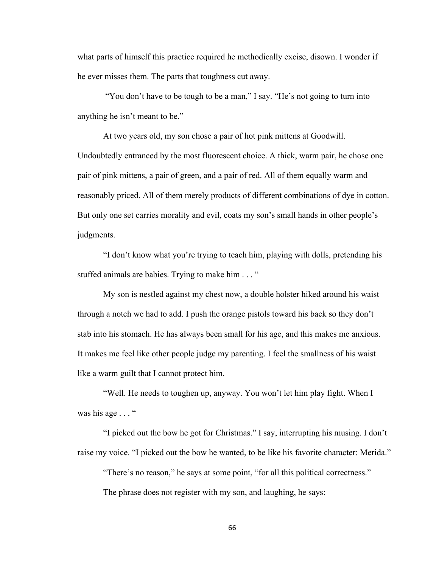what parts of himself this practice required he methodically excise, disown. I wonder if he ever misses them. The parts that toughness cut away.

"You don't have to be tough to be a man," I say. "He's not going to turn into anything he isn't meant to be."

At two years old, my son chose a pair of hot pink mittens at Goodwill. Undoubtedly entranced by the most fluorescent choice. A thick, warm pair, he chose one pair of pink mittens, a pair of green, and a pair of red. All of them equally warm and reasonably priced. All of them merely products of different combinations of dye in cotton. But only one set carries morality and evil, coats my son's small hands in other people's judgments.

"I don't know what you're trying to teach him, playing with dolls, pretending his stuffed animals are babies. Trying to make him . . . "

My son is nestled against my chest now, a double holster hiked around his waist through a notch we had to add. I push the orange pistols toward his back so they don't stab into his stomach. He has always been small for his age, and this makes me anxious. It makes me feel like other people judge my parenting. I feel the smallness of his waist like a warm guilt that I cannot protect him.

"Well. He needs to toughen up, anyway. You won't let him play fight. When I was his age  $\ldots$ "

"I picked out the bow he got for Christmas." I say, interrupting his musing. I don't raise my voice. "I picked out the bow he wanted, to be like his favorite character: Merida."

"There's no reason," he says at some point, "for all this political correctness."

The phrase does not register with my son, and laughing, he says: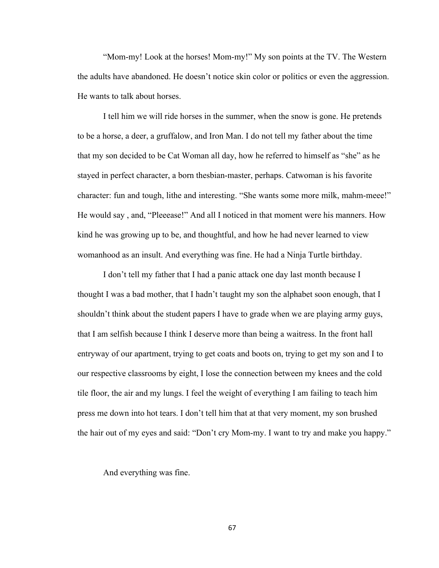"Mom-my! Look at the horses! Mom-my!" My son points at the TV. The Western the adults have abandoned. He doesn't notice skin color or politics or even the aggression. He wants to talk about horses.

I tell him we will ride horses in the summer, when the snow is gone. He pretends to be a horse, a deer, a gruffalow, and Iron Man. I do not tell my father about the time that my son decided to be Cat Woman all day, how he referred to himself as "she" as he stayed in perfect character, a born thesbian-master, perhaps. Catwoman is his favorite character: fun and tough, lithe and interesting. "She wants some more milk, mahm-meee!" He would say , and, "Pleeease!" And all I noticed in that moment were his manners. How kind he was growing up to be, and thoughtful, and how he had never learned to view womanhood as an insult. And everything was fine. He had a Ninja Turtle birthday.

I don't tell my father that I had a panic attack one day last month because I thought I was a bad mother, that I hadn't taught my son the alphabet soon enough, that I shouldn't think about the student papers I have to grade when we are playing army guys, that I am selfish because I think I deserve more than being a waitress. In the front hall entryway of our apartment, trying to get coats and boots on, trying to get my son and I to our respective classrooms by eight, I lose the connection between my knees and the cold tile floor, the air and my lungs. I feel the weight of everything I am failing to teach him press me down into hot tears. I don't tell him that at that very moment, my son brushed the hair out of my eyes and said: "Don't cry Mom-my. I want to try and make you happy."

And everything was fine.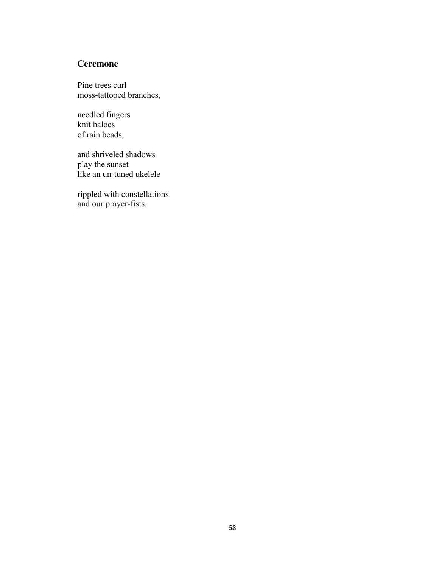## **Ceremone**

Pine trees curl moss-tattooed branches,

needled fingers knit haloes of rain beads,

and shriveled shadows play the sunset like an un-tuned ukelele

rippled with constellations and our prayer-fists.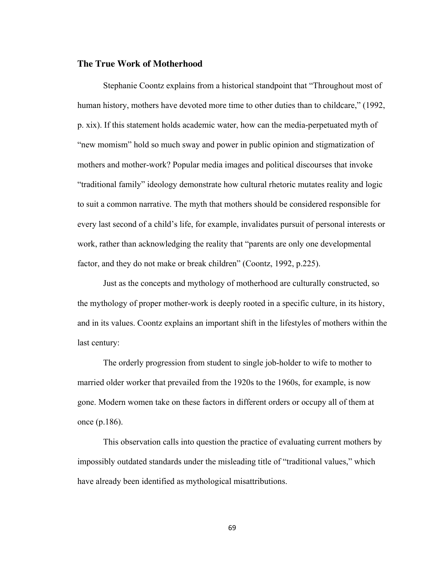## **The True Work of Motherhood**

Stephanie Coontz explains from a historical standpoint that "Throughout most of human history, mothers have devoted more time to other duties than to childcare," (1992, p. xix). If this statement holds academic water, how can the media-perpetuated myth of "new momism" hold so much sway and power in public opinion and stigmatization of mothers and mother-work? Popular media images and political discourses that invoke "traditional family" ideology demonstrate how cultural rhetoric mutates reality and logic to suit a common narrative. The myth that mothers should be considered responsible for every last second of a child's life, for example, invalidates pursuit of personal interests or work, rather than acknowledging the reality that "parents are only one developmental factor, and they do not make or break children" (Coontz, 1992, p.225).

Just as the concepts and mythology of motherhood are culturally constructed, so the mythology of proper mother-work is deeply rooted in a specific culture, in its history, and in its values. Coontz explains an important shift in the lifestyles of mothers within the last century:

The orderly progression from student to single job-holder to wife to mother to married older worker that prevailed from the 1920s to the 1960s, for example, is now gone. Modern women take on these factors in different orders or occupy all of them at once (p.186).

This observation calls into question the practice of evaluating current mothers by impossibly outdated standards under the misleading title of "traditional values," which have already been identified as mythological misattributions.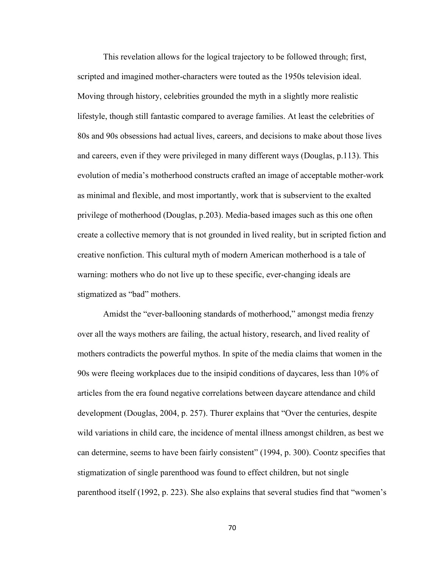This revelation allows for the logical trajectory to be followed through; first, scripted and imagined mother-characters were touted as the 1950s television ideal. Moving through history, celebrities grounded the myth in a slightly more realistic lifestyle, though still fantastic compared to average families. At least the celebrities of 80s and 90s obsessions had actual lives, careers, and decisions to make about those lives and careers, even if they were privileged in many different ways (Douglas, p.113). This evolution of media's motherhood constructs crafted an image of acceptable mother-work as minimal and flexible, and most importantly, work that is subservient to the exalted privilege of motherhood (Douglas, p.203). Media-based images such as this one often create a collective memory that is not grounded in lived reality, but in scripted fiction and creative nonfiction. This cultural myth of modern American motherhood is a tale of warning: mothers who do not live up to these specific, ever-changing ideals are stigmatized as "bad" mothers.

Amidst the "ever-ballooning standards of motherhood," amongst media frenzy over all the ways mothers are failing, the actual history, research, and lived reality of mothers contradicts the powerful mythos. In spite of the media claims that women in the 90s were fleeing workplaces due to the insipid conditions of daycares, less than 10% of articles from the era found negative correlations between daycare attendance and child development (Douglas, 2004, p. 257). Thurer explains that "Over the centuries, despite wild variations in child care, the incidence of mental illness amongst children, as best we can determine, seems to have been fairly consistent" (1994, p. 300). Coontz specifies that stigmatization of single parenthood was found to effect children, but not single parenthood itself (1992, p. 223). She also explains that several studies find that "women's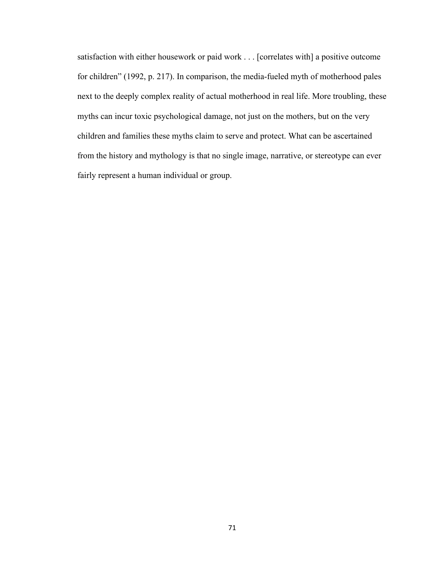satisfaction with either housework or paid work . . . [correlates with] a positive outcome for children" (1992, p. 217). In comparison, the media-fueled myth of motherhood pales next to the deeply complex reality of actual motherhood in real life. More troubling, these myths can incur toxic psychological damage, not just on the mothers, but on the very children and families these myths claim to serve and protect. What can be ascertained from the history and mythology is that no single image, narrative, or stereotype can ever fairly represent a human individual or group.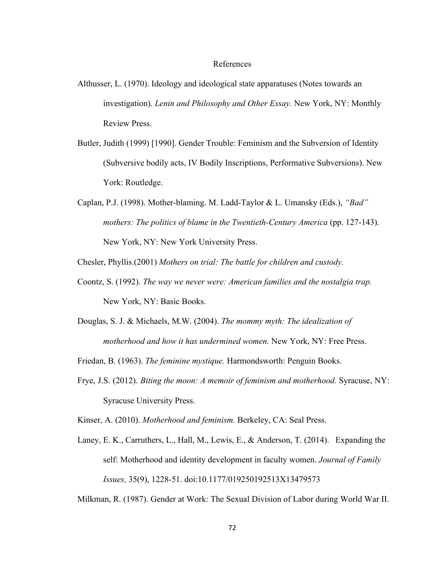## References

- Althusser, L. (1970). Ideology and ideological state apparatuses (Notes towards an investigation). *Lenin and Philosophy and Other Essay.* New York, NY: Monthly Review Press.
- Butler, Judith (1999) [1990]. Gender Trouble: Feminism and the Subversion of Identity (Subversive bodily acts, IV Bodily Inscriptions, Performative Subversions). New York: Routledge.
- Caplan, P.J. (1998). Mother-blaming. M. Ladd-Taylor & L. Umansky (Eds.), *"Bad" mothers: The politics of blame in the Twentieth-Century America (pp. 127-143).* New York, NY: New York University Press.

Chesler, Phyllis.(2001) *Mothers on trial: The battle for children and custody.* 

- Coontz, S. (1992). *The way we never were: American families and the nostalgia trap.*  New York, NY: Basic Books.
- Douglas, S. J. & Michaels, M.W. (2004). *The mommy myth: The idealization of motherhood and how it has undermined women.* New York, NY: Free Press.

Friedan, B. (1963). *The feminine mystique.* Harmondsworth: Penguin Books.

Frye, J.S. (2012). *Biting the moon: A memoir of feminism and motherhood.* Syracuse, NY: Syracuse University Press.

Kinser, A. (2010). *Motherhood and feminism.* Berkeley, CA: Seal Press.

Laney, E. K., Carruthers, L., Hall, M., Lewis, E., & Anderson, T. (2014). Expanding the self: Motherhood and identity development in faculty women. *Journal of Family Issues,* 35(9), 1228-51. doi:10.1177/019250192513X13479573

Milkman, R. (1987). Gender at Work: The Sexual Division of Labor during World War II.